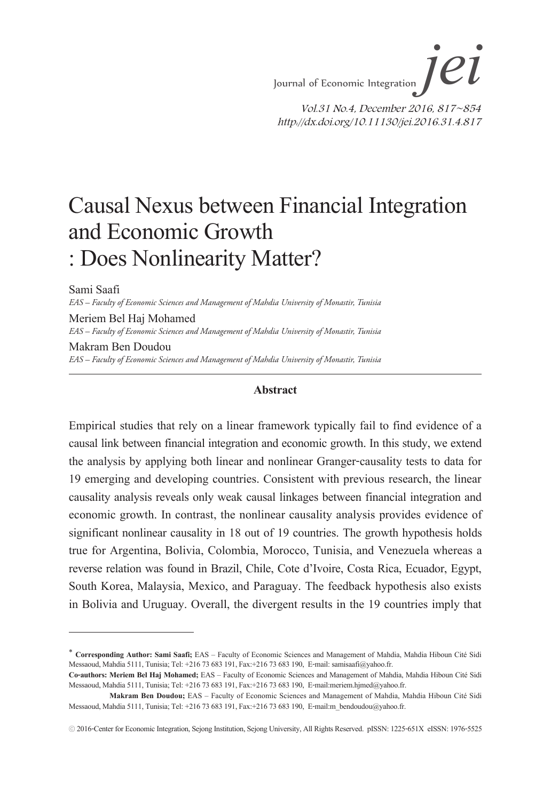# Causal Nexus between Financial Integration and Economic Growth : Does Nonlinearity Matter?

Sami Saafi

*EAS – Faculty of Economic Sciences and Management of Mahdia University of Monastir, Tunisia*

Meriem Bel Haj Mohamed *EAS – Faculty of Economic Sciences and Management of Mahdia University of Monastir, Tunisia* Makram Ben Doudou

*EAS – Faculty of Economic Sciences and Management of Mahdia University of Monastir, Tunisia*

#### **Abstract**

Empirical studies that rely on a linear framework typically fail to find evidence of a causal link between financial integration and economic growth. In this study, we extend the analysis by applying both linear and nonlinear Granger-causality tests to data for 19 emerging and developing countries. Consistent with previous research, the linear causality analysis reveals only weak causal linkages between financial integration and economic growth. In contrast, the nonlinear causality analysis provides evidence of significant nonlinear causality in 18 out of 19 countries. The growth hypothesis holds true for Argentina, Bolivia, Colombia, Morocco, Tunisia, and Venezuela whereas a reverse relation was found in Brazil, Chile, Cote d'Ivoire, Costa Rica, Ecuador, Egypt, South Korea, Malaysia, Mexico, and Paraguay. The feedback hypothesis also exists in Bolivia and Uruguay. Overall, the divergent results in the 19 countries imply that

<sup>∗</sup> **Corresponding Author: Sami Saafi;** EAS – Faculty of Economic Sciences and Management of Mahdia, Mahdia Hiboun Cité Sidi Messaoud, Mahdia 5111, Tunisia; Tel: +216 73 683 191, Fax:+216 73 683 190, E-mail: samisaafi@yahoo.fr.

**Co-authors: Meriem Bel Haj Mohamed;** EAS – Faculty of Economic Sciences and Management of Mahdia, Mahdia Hiboun Cité Sidi Messaoud, Mahdia 5111, Tunisia; Tel: +216 73 683 191, Fax:+216 73 683 190, E-mail:meriem.hjmed@yahoo.fr.

**Makram Ben Doudou;** EAS – Faculty of Economic Sciences and Management of Mahdia, Mahdia Hiboun Cité Sidi Messaoud, Mahdia 5111, Tunisia; Tel: +216 73 683 191, Fax:+216 73 683 190, E-mail:m\_bendoudou@yahoo.fr.

<sup>ⓒ</sup> 2016-Center for Economic Integration, Sejong Institution, Sejong University, All Rights Reserved. pISSN: 1225-651X eISSN: 1976-5525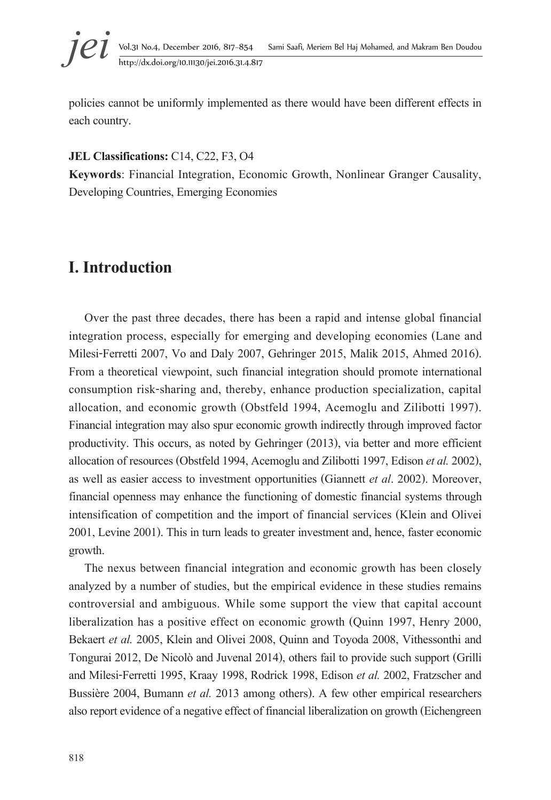## *jei* Vol.31 No.4, December 2016, 817~854 Sami Saafi, Meriem Bel Haj Mohamed, and Makram Ben Doudou http://dx.doi.org/10.11130/jei.2016.31.4.817

policies cannot be uniformly implemented as there would have been different effects in each country.

#### **JEL Classifications:** C14, C22, F3, O4

**Keywords**: Financial Integration, Economic Growth, Nonlinear Granger Causality, Developing Countries, Emerging Economies

## **I. Introduction**

Over the past three decades, there has been a rapid and intense global financial integration process, especially for emerging and developing economies (Lane and Milesi-Ferretti 2007, Vo and Daly 2007, Gehringer 2015, Malik 2015, Ahmed 2016). From a theoretical viewpoint, such financial integration should promote international consumption risk-sharing and, thereby, enhance production specialization, capital allocation, and economic growth (Obstfeld 1994, Acemoglu and Zilibotti 1997). Financial integration may also spur economic growth indirectly through improved factor productivity. This occurs, as noted by Gehringer (2013), via better and more efficient allocation of resources (Obstfeld 1994, Acemoglu and Zilibotti 1997, Edison *et al.* 2002), as well as easier access to investment opportunities (Giannett *et al*. 2002). Moreover, financial openness may enhance the functioning of domestic financial systems through intensification of competition and the import of financial services (Klein and Olivei 2001, Levine 2001). This in turn leads to greater investment and, hence, faster economic growth.

The nexus between financial integration and economic growth has been closely analyzed by a number of studies, but the empirical evidence in these studies remains controversial and ambiguous. While some support the view that capital account liberalization has a positive effect on economic growth (Quinn 1997, Henry 2000, Bekaert *et al.* 2005, Klein and Olivei 2008, Quinn and Toyoda 2008, Vithessonthi and Tongurai 2012, De Nicolò and Juvenal 2014), others fail to provide such support (Grilli and Milesi-Ferretti 1995, Kraay 1998, Rodrick 1998, Edison *et al.* 2002, Fratzscher and Bussière 2004, Bumann *et al.* 2013 among others). A few other empirical researchers also report evidence of a negative effect of financial liberalization on growth (Eichengreen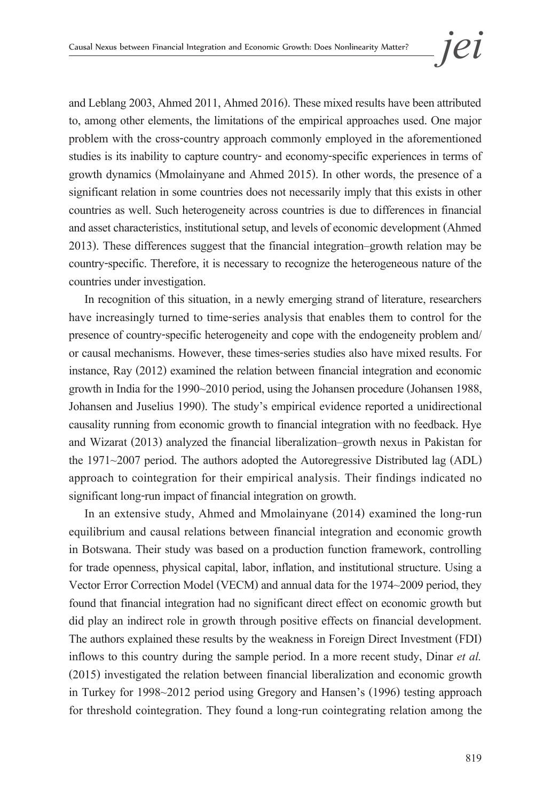and Leblang 2003, Ahmed 2011, Ahmed 2016). These mixed results have been attributed to, among other elements, the limitations of the empirical approaches used. One major problem with the cross-country approach commonly employed in the aforementioned studies is its inability to capture country- and economy-specific experiences in terms of growth dynamics (Mmolainyane and Ahmed 2015). In other words, the presence of a significant relation in some countries does not necessarily imply that this exists in other countries as well. Such heterogeneity across countries is due to differences in financial and asset characteristics, institutional setup, and levels of economic development (Ahmed 2013). These differences suggest that the financial integration–growth relation may be country-specific. Therefore, it is necessary to recognize the heterogeneous nature of the countries under investigation.

In recognition of this situation, in a newly emerging strand of literature, researchers have increasingly turned to time-series analysis that enables them to control for the presence of country-specific heterogeneity and cope with the endogeneity problem and/ or causal mechanisms. However, these times-series studies also have mixed results. For instance, Ray (2012) examined the relation between financial integration and economic growth in India for the 1990~2010 period, using the Johansen procedure (Johansen 1988, Johansen and Juselius 1990). The study's empirical evidence reported a unidirectional causality running from economic growth to financial integration with no feedback. Hye and Wizarat (2013) analyzed the financial liberalization–growth nexus in Pakistan for the 1971~2007 period. The authors adopted the Autoregressive Distributed lag (ADL) approach to cointegration for their empirical analysis. Their findings indicated no significant long-run impact of financial integration on growth.

In an extensive study, Ahmed and Mmolainyane (2014) examined the long-run equilibrium and causal relations between financial integration and economic growth in Botswana. Their study was based on a production function framework, controlling for trade openness, physical capital, labor, inflation, and institutional structure. Using a Vector Error Correction Model (VECM) and annual data for the 1974~2009 period, they found that financial integration had no significant direct effect on economic growth but did play an indirect role in growth through positive effects on financial development. The authors explained these results by the weakness in Foreign Direct Investment (FDI) inflows to this country during the sample period. In a more recent study, Dinar *et al.* (2015) investigated the relation between financial liberalization and economic growth in Turkey for 1998~2012 period using Gregory and Hansen's (1996) testing approach for threshold cointegration. They found a long-run cointegrating relation among the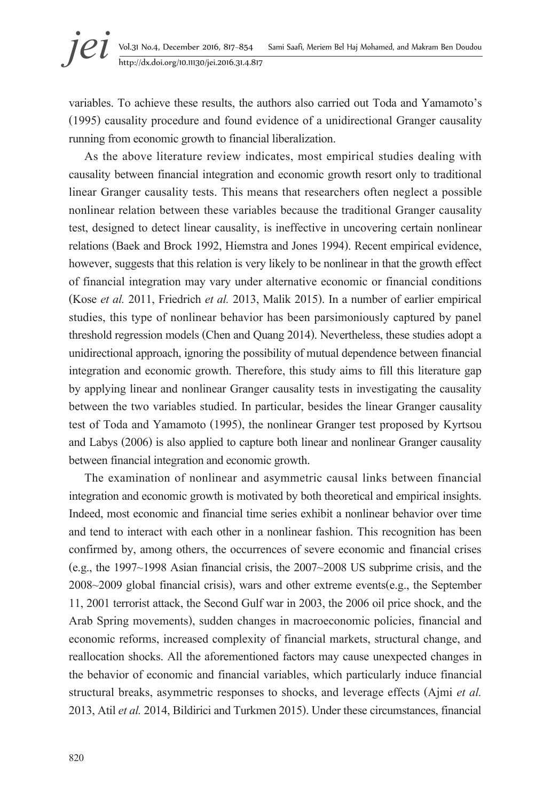variables. To achieve these results, the authors also carried out Toda and Yamamoto's (1995) causality procedure and found evidence of a unidirectional Granger causality running from economic growth to financial liberalization.

As the above literature review indicates, most empirical studies dealing with causality between financial integration and economic growth resort only to traditional linear Granger causality tests. This means that researchers often neglect a possible nonlinear relation between these variables because the traditional Granger causality test, designed to detect linear causality, is ineffective in uncovering certain nonlinear relations (Baek and Brock 1992, Hiemstra and Jones 1994). Recent empirical evidence, however, suggests that this relation is very likely tobenonlinear in that the growth effect of financial integration may vary under alternative economic or financial conditions (Kose *et al.* 2011, Friedrich *et al.* 2013, Malik 2015). In a number of earlier empirical studies, this type of nonlinear behavior has been parsimoniously captured by panel threshold regression models (Chen and Quang 2014). Nevertheless, these studies adopt a unidirectional approach, ignoring the possibility of mutual dependence between financial integration and economic growth. Therefore, this study aims to fill this literature gap by applying linear and nonlinear Granger causality tests in investigating the causality between the two variables studied. In particular, besides the linear Granger causality test of Toda and Yamamoto (1995), the nonlinear Granger test proposed by Kyrtsou and Labys (2006) is also applied to capture both linear and nonlinear Granger causality between financial integration and economic growth.

The examination of nonlinear and asymmetric causal links between financial integration and economic growth is motivated by both theoretical and empirical insights. Indeed, most economic and financial time series exhibit a nonlinear behavior over time and tend to interact with each other in a nonlinear fashion. This recognition has been confirmed by, among others, the occurrences of severe economic and financial crises (e.g., the 1997~1998 Asian financial crisis, the 2007~2008 US subprime crisis, and the 2008~2009 global financial crisis), wars and other extreme events(e.g., the September 11, 2001 terrorist attack, the Second Gulf war in 2003, the 2006 oil price shock, and the Arab Spring movements), sudden changes in macroeconomic policies, financial and economic reforms, increased complexity of financial markets, structural change, and reallocation shocks. All the aforementioned factors may cause unexpected changes in the behavior of economic and financial variables, which particularly induce financial structural breaks, asymmetric responses to shocks, and leverage effects (Ajmi *et al.* 2013, Atil *et al.* 2014, Bildirici and Turkmen 2015). Under these circumstances, financial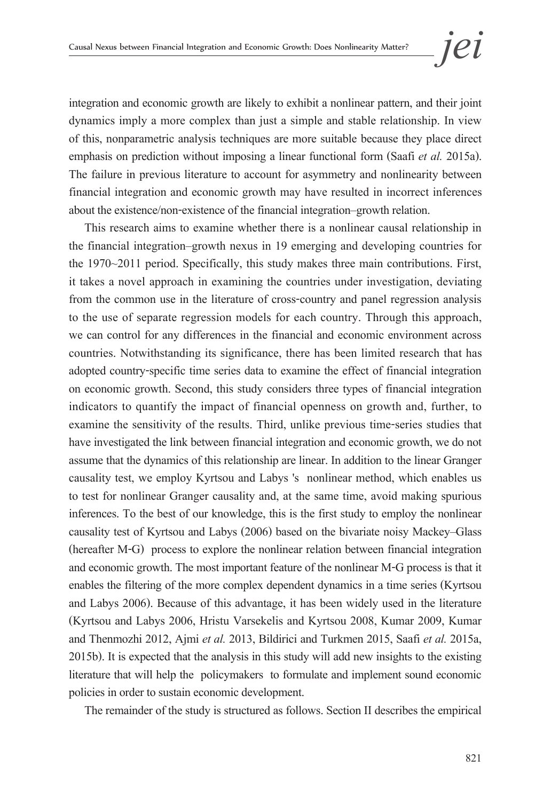integration and economic growth are likely to exhibit a nonlinear pattern, and their joint dynamics imply a more complex than just a simple and stable relationship. In view of this, nonparametric analysis techniques are more suitable because they place direct emphasis on prediction without imposing a linear functional form (Saafi *et al.* 2015a). The failure in previous literature to account for asymmetry and nonlinearity between financial integration and economic growth may have resulted in incorrect inferences about the existence/non-existence of the financial integration–growth relation.

This research aims to examine whether there is a nonlinear causal relationship in the financial integration–growth nexus in 19 emerging and developing countries for the 1970~2011 period. Specifically, this study makes three main contributions. First, it takes a novel approach in examining the countries under investigation, deviating from the common use in the literature of cross-country and panel regression analysis to the use of separate regression models for each country. Through this approach, we can control for any differences in the financial and economic environment across countries. Notwithstanding its significance, there has been limited research that has adopted country-specific time series data to examine the effect of financial integration on economic growth. Second, this study considers three types of financial integration indicators to quantify the impact of financial openness on growth and, further, to examine the sensitivity of the results. Third, unlike previous time-series studies that have investigated the link between financial integration and economic growth, we do not assume that the dynamics of this relationship are linear. In addition to the linear Granger causality test, we employ Kyrtsou and Labys 's nonlinear method, which enables us to test for nonlinear Granger causality and, at the same time, avoid making spurious inferences. To the best of our knowledge, this is the first study to employ the nonlinear causality test of Kyrtsou and Labys (2006) based on the bivariate noisy Mackey–Glass (hereafter M-G) process to explore the nonlinear relation between financial integration and economic growth. The most important feature of the nonlinear M-G process is that it enables the filtering of the more complex dependent dynamics in a time series (Kyrtsou and Labys 2006). Because of this advantage, it has been widely used in the literature (Kyrtsou and Labys 2006, Hristu Varsekelis and Kyrtsou 2008, Kumar 2009, Kumar and Thenmozhi 2012, Ajmi *et al.* 2013, Bildirici and Turkmen 2015, Saafi *et al.* 2015a, 2015b). It is expected that the analysis in this study will add new insights to the existing literature that will help the policymakers to formulate and implement sound economic policies in order to sustain economic development.

The remainder of the study is structured as follows. Section II describes the empirical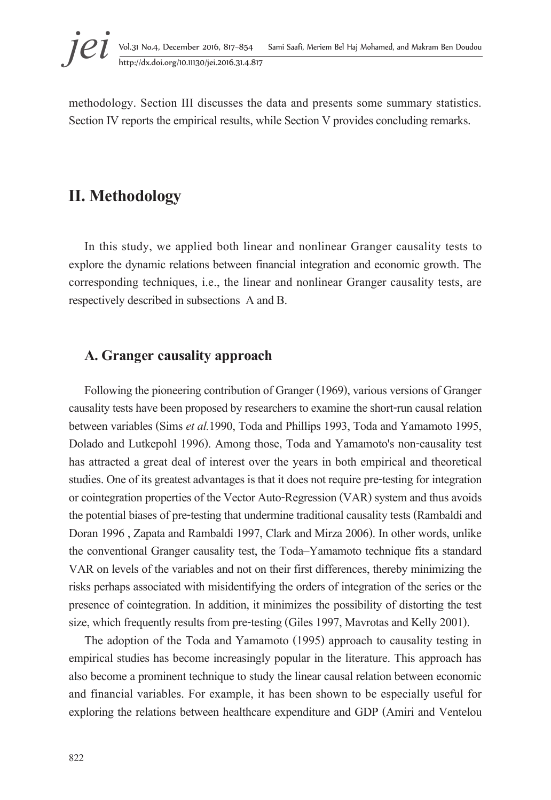methodology. Section III discusses the data and presents some summary statistics. Section IV reports the empirical results, while Section V provides concluding remarks.

## **II. Methodology**

In this study, we applied both linear and nonlinear Granger causality tests to explore the dynamic relations between financial integration and economic growth. The corresponding techniques, i.e., the linear and nonlinear Granger causality tests, are respectively described in subsections A and B.

### **A. Granger causality approach**

Following the pioneering contribution of Granger (1969), various versions of Granger causality tests have been proposed by researchers to examine the short-run causal relation between variables (Sims *et al.*1990, Toda and Phillips 1993, Toda and Yamamoto 1995, Dolado and Lutkepohl 1996). Among those, Toda and Yamamoto's non-causality test has attracted a great deal of interest over the years in both empirical and theoretical studies. One of its greatest advantages is that it does not require pre-testing for integration or cointegration properties of the Vector Auto-Regression (VAR) system and thus avoids the potential biases of pre-testing that undermine traditional causality tests (Rambaldi and Doran 1996, Zapata and Rambaldi 1997, Clark and Mirza 2006). In other words, unlike the conventional Granger causality test, the Toda–Yamamoto technique fits a standard VAR on levels of the variables and not on their first differences, thereby minimizing the risks perhaps associated with misidentifying the orders of integration of the series or the presence of cointegration. In addition, it minimizes the possibility of distorting the test size, which frequently results from pre-testing (Giles 1997, Mavrotas and Kelly 2001).

The adoption of the Toda and Yamamoto (1995) approach to causality testing in empirical studies has become increasingly popular in the literature. This approach has also become a prominent technique to study the linear causal relation between economic and financial variables. For example, it has been shown to be especially useful for exploring the relations between healthcare expenditure and GDP (Amiri and Ventelou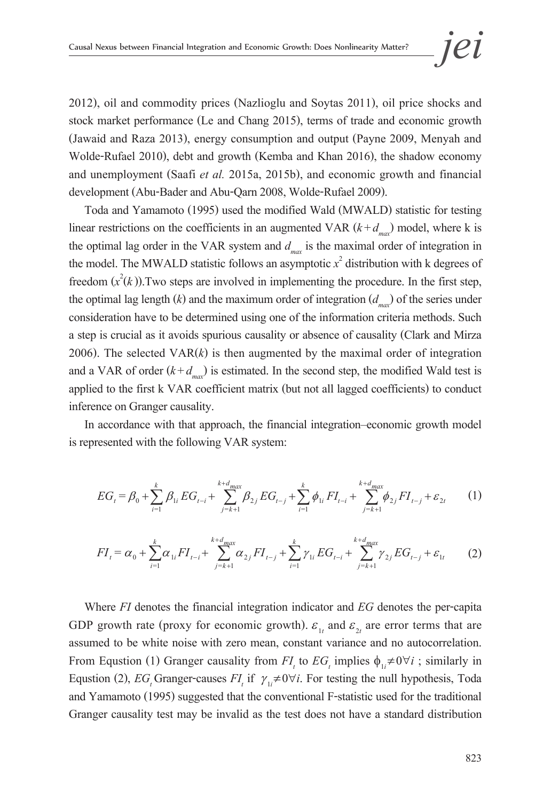2012), oil and commodity prices (Nazlioglu and Soytas 2011), oil price shocks and stock market performance (Le and Chang 2015), terms of trade and economic growth (Jawaid and Raza 2013), energy consumption and output (Payne 2009, Menyah and Wolde-Rufael 2010), debt and growth (Kemba and Khan 2016), the shadow economy and unemployment (Saafi *et al.* 2015a, 2015b), and economic growth and financial development (Abu-Bader and Abu-Qarn 2008, Wolde-Rufael 2009).

Toda and Yamamoto (1995) used the modified Wald (MWALD) statistic for testing linear restrictions on the coefficients in an augmented VAR  $(k+d_{max})$  model, where k is the optimal lag order in the VAR system and  $d_{\text{max}}$  is the maximal order of integration in the model. The MWALD statistic follows an asymptotic  $x^2$  distribution with k degrees of freedom  $(x^2(k))$ . Two steps are involved in implementing the procedure. In the first step, the optimal lag length  $(k)$  and the maximum order of integration  $(d_{max})$  of the series under consideration have to be determined using one of the information criteria methods. Such a step is crucial as it avoids spurious causality or absence of causality (Clark and Mirza 2006). The selected  $VAR(k)$  is then augmented by the maximal order of integration and a VAR of order  $(k+d_{\text{max}})$  is estimated. In the second step, the modified Wald test is applied to the first k VAR coefficient matrix (but not all lagged coefficients) to conduct inference on Granger causality.

In accordance with that approach, the financial integration–economic growth model is represented with the following VAR system:

$$
EG_t = \beta_0 + \sum_{i=1}^k \beta_{1i} EG_{t-i} + \sum_{j=k+1}^{k+d_{max}} \beta_{2j} EG_{t-j} + \sum_{i=1}^k \phi_{1i} FI_{t-i} + \sum_{j=k+1}^{k+d_{max}} \phi_{2j} FI_{t-j} + \varepsilon_{2t}
$$
 (1)

$$
FI_{t} = \alpha_{0} + \sum_{i=1}^{k} \alpha_{1i} FI_{t-i} + \sum_{j=k+1}^{k+d_{max}} \alpha_{2j} FI_{t-j} + \sum_{i=1}^{k} \gamma_{1i} EG_{t-i} + \sum_{j=k+1}^{k+d_{max}} \gamma_{2j} EG_{t-j} + \varepsilon_{1t}
$$
 (2)

Where *FI* denotes the financial integration indicator and *EG* denotes the per-capita GDP growth rate (proxy for economic growth).  $\varepsilon_{1t}$  and  $\varepsilon_{2t}$  are error terms that are assumed to be white noise with zero mean, constant variance and no autocorrelation. From Equstion (1) Granger causality from  $FI_t$  to  $EG_t$  implies  $\phi_{1i} \neq 0 \forall i$ ; similarly in Equstion (2), *EG<sub>t</sub>* Granger-causes *FI<sub>t</sub>* if  $\gamma_{1i} \neq 0 \forall i$ . For testing the null hypothesis, Toda and Yamamoto (1995) suggested that the conventional F-statistic used for the traditional Granger causality test may be invalid as the test does not have a standard distribution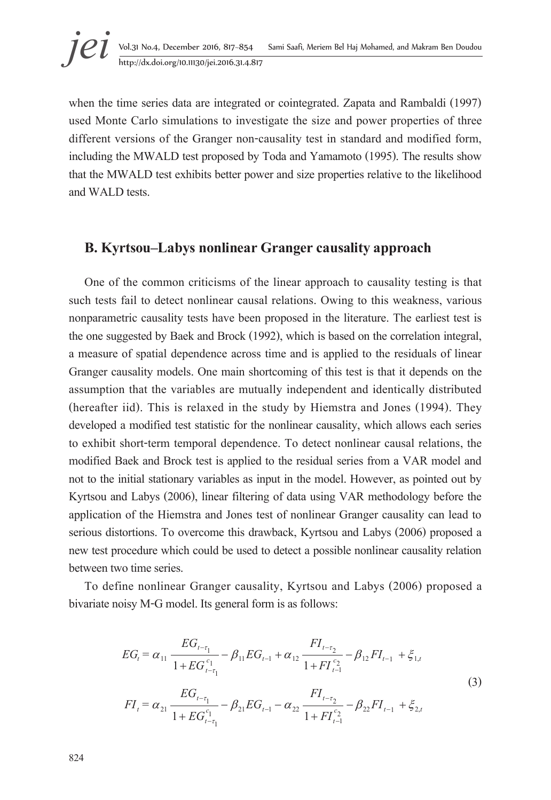when the time series data are integrated or cointegrated. Zapata and Rambaldi (1997) used Monte Carlo simulations to investigate the size and power properties of three different versions of the Granger non-causality test in standard and modified form, including the MWALD test proposed by Toda and Yamamoto (1995). The results show that the MWALD test exhibits better power and size properties relative to the likelihood and WALD tests.

### **B. Kyrtsou–Labys nonlinear Granger causality approach**

One of the common criticisms of the linear approach to causality testing is that such tests fail to detect nonlinear causal relations. Owing to this weakness, various nonparametric causality tests have been proposed in the literature. The earliest test is the one suggested by Baek and Brock (1992), which is based on the correlation integral, a measure of spatial dependence across time and is applied to the residuals of linear Granger causality models. One main shortcoming of this test is that it depends on the assumption that the variables are mutually independent and identically distributed (hereafter iid). This is relaxed in the study by Hiemstra and Jones (1994). They developed a modified test statistic for the nonlinear causality, which allows each series to exhibit short-term temporal dependence. To detect nonlinear causal relations, the modified Baek and Brock test is applied to the residual series from a VAR model and not to the initial stationary variables as input in the model. However, as pointed out by Kyrtsou and Labys (2006), linear filtering of data using VAR methodology before the application of the Hiemstra and Jones test of nonlinear Granger causality can lead to serious distortions. To overcome this drawback, Kyrtsou and Labys (2006) proposed a new test procedure which could be used to detect a possible nonlinear causality relation between two time series.

To define nonlinear Granger causality, Kyrtsou and Labys (2006) proposed a bivariate noisy M-G model. Its general form is as follows:

$$
EG_{t} = \alpha_{11} \frac{EG_{t-\tau_1}}{1 + EG_{t-\tau_1}^{c_1}} - \beta_{11} EG_{t-1} + \alpha_{12} \frac{FI_{t-\tau_2}}{1 + FI_{t-1}^{c_2}} - \beta_{12} FI_{t-1} + \xi_{1,t}
$$
  
\n
$$
FI_{t} = \alpha_{21} \frac{EG_{t-\tau_1}}{1 + EG_{t-\tau_1}^{c_1}} - \beta_{21} EG_{t-1} - \alpha_{22} \frac{FI_{t-\tau_2}}{1 + FI_{t-1}^{c_2}} - \beta_{22} FI_{t-1} + \xi_{2,t}
$$
\n(3)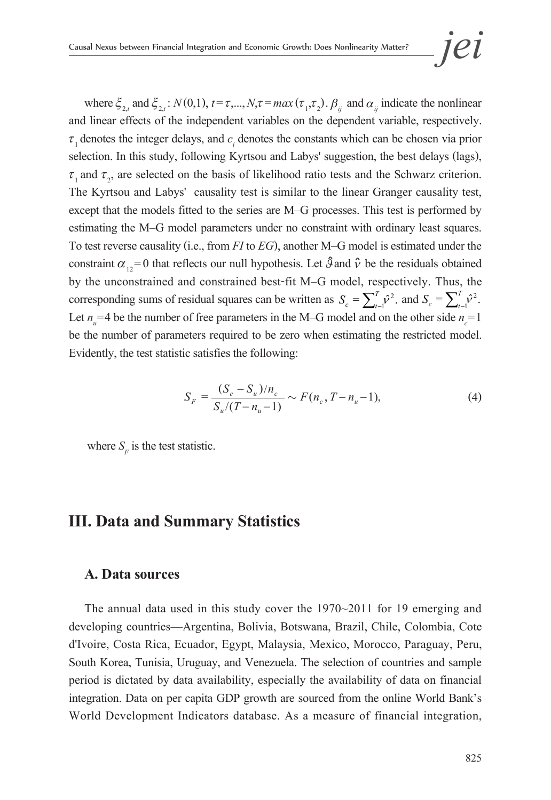where  $\xi_{2,t}$  and  $\xi_{2,t}$ :  $N(0,1)$ ,  $t = \tau,..., N, \tau = max(\tau_1, \tau_2)$ .  $\beta_{ij}$  and  $\alpha_{ij}$  indicate the nonlinear and linear effects of the independent variables on the dependent variable, respectively.  $\tau_1$  denotes the integer delays, and  $c_i$  denotes the constants which can be chosen via prior selection. In this study, following Kyrtsou and Labys' suggestion, the best delays (lags),  $\tau_1$  and  $\tau_2$ , are selected on the basis of likelihood ratio tests and the Schwarz criterion. The Kyrtsou and Labys' causality test is similar to the linear Granger causality test, except that the models fitted to the series are M–G processes. This test is performed by estimating the M–G model parameters under no constraint with ordinary least squares. To test reverse causality (i.e., from *FI* to *EG*), another M–G model is estimated under the constraint  $\alpha_{12} = 0$  that reflects our null hypothesis. Let  $\hat{A}$  and  $\hat{v}$  be the residuals obtained � � by the unconstrained and constrained best-fit M–G model, respectively. Thus, the corresponding sums of residual squares can be written as  $S_c = \sum_{i=1}^{T} \hat{v}^2$ .  $S_c = \sum_{t=1}^{T} \hat{v}^2$ , and  $S_c = \sum_{t=1}^{T} \hat{v}^2$ .  $S_c = \sum_{t}^T$ Let  $n_{u} = 4$  be the number of free parameters in the M–G model and on the other side  $n_{c} = 1$ be the number of parameters required to be zero when estimating the restricted model. Evidently, the test statistic satisfies the following:

$$
S_F = \frac{(S_c - S_u)/n_c}{S_u/(T - n_u - 1)} \sim F(n_c, T - n_u - 1),\tag{4}
$$

where  $S_F$  is the test statistic.

## **III. Data and Summary Statistics**

#### **A. Data sources**

The annual data used in this study cover the 1970~2011 for 19 emerging and developing countries—Argentina, Bolivia, Botswana, Brazil, Chile, Colombia, Cote d'Ivoire, Costa Rica, Ecuador, Egypt, Malaysia, Mexico, Morocco, Paraguay, Peru, South Korea, Tunisia, Uruguay, and Venezuela. The selection of countries and sample period is dictated by data availability, especially the availability of data on financial integration. Data on per capita GDP growth are sourced from the online World Bank's World Development Indicators database. As a measure of financial integration,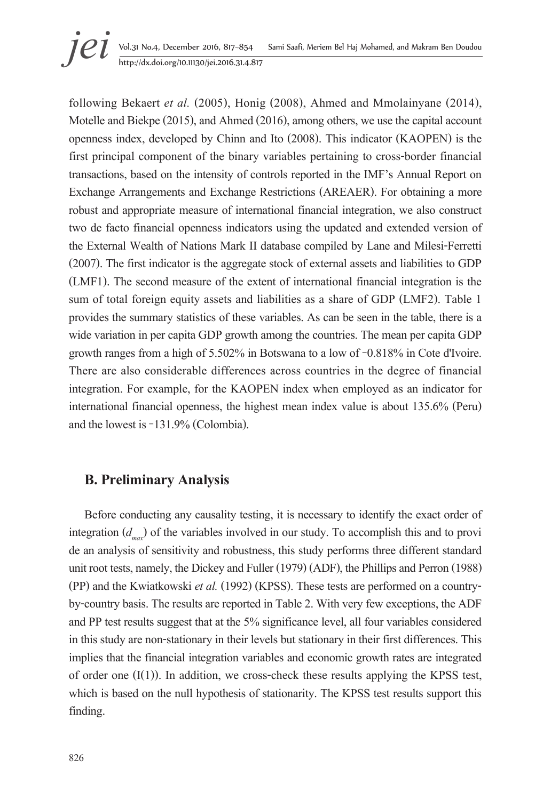**jei** Vol.31 No.4, December 2016, 817–854 Sami Saafi, Meriem Bel Haj Mohamed, and Makram Ben Doudou<br>http://dx.doi.org/10.11130/jei.2016.31.4.817

following Bekaert *et al.* (2005), Honig (2008), Ahmed and Mmolainyane (2014), Motelle and Biekpe (2015), and Ahmed (2016), among others, we use the capital account openness index, developed by Chinn and Ito (2008). This indicator (KAOPEN) is the first principal component of the binary variables pertaining to cross-border financial transactions, based on the intensity of controls reported in the IMF's Annual Report on Exchange Arrangements and Exchange Restrictions (AREAER). For obtaining a more robust and appropriate measure of international financial integration, we also construct two de facto financial openness indicators using the updated and extended version of the External Wealth of Nations Mark II database compiled by Lane and Milesi-Ferretti (2007). The first indicator is the aggregate stock of external assets and liabilities to GDP (LMF1). The second measure of the extent of international financial integration is the sum of total foreign equity assets and liabilities as a share of GDP (LMF2). Table 1 provides the summary statistics of these variables. As can be seen in the table, there is a wide variation in per capita GDP growth among the countries. The mean per capita GDP growth ranges from a high of 5.502% in Botswana to a low of −0.818% in Cote d'Ivoire. There are also considerable differences across countries in the degree of financial integration. For example, for the KAOPEN index when employed as an indicator for international financial openness, the highest mean index value is about 135.6% (Peru) and the lowest is −131.9% (Colombia).

## **B. Preliminary Analysis**

Before conducting any causality testing, it is necessary to identify the exact order of integration  $(d_{\text{max}})$  of the variables involved in our study. To accomplish this and to provi de an analysis of sensitivity and robustness, this study performs three different standard unit root tests, namely, the Dickey and Fuller (1979) (ADF), the Phillips and Perron (1988) (PP) and the Kwiatkowski *et al.* (1992) (KPSS). These tests are performed on a countryby-country basis. The results are reported in Table 2. With very few exceptions, the ADF and PP test results suggest that at the 5% significance level, all four variables considered in this study are non-stationary in their levels but stationary in their first differences. This implies that the financial integration variables and economic growth rates are integrated of order one  $(I(1))$ . In addition, we cross-check these results applying the KPSS test, which is based on the null hypothesis of stationarity. The KPSS test results support this finding.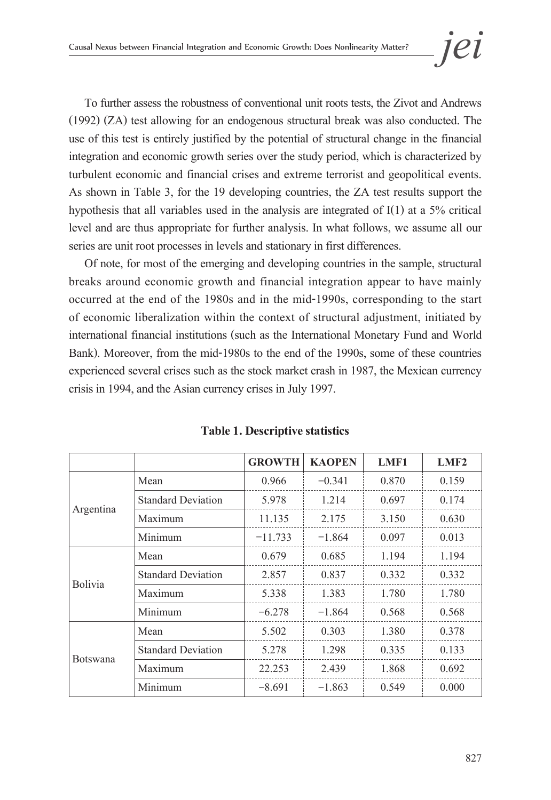To further assess the robustness of conventional unit roots tests, the Zivot and Andrews (1992) (ZA) test allowing for an endogenous structural break was also conducted. The use of this test is entirely justified by the potential of structural change in the financial integration and economic growth series over the study period, which is characterized by turbulent economic and financial crises and extreme terrorist and geopolitical events. As shown in Table 3, for the 19 developing countries, the ZA test results support the hypothesis that all variables used in the analysis are integrated of I(1) at a 5% critical level and are thus appropriate for further analysis. In what follows, we assume all our series are unit root processes in levels and stationary in first differences.

Of note, for most of the emerging and developing countries in the sample, structural breaks around economic growth and financial integration appear to have mainly occurred at the end of the 1980s and in the mid-1990s, corresponding to the start of economic liberalization within the context of structural adjustment, initiated by international financial institutions (such as the International Monetary Fund and World Bank). Moreover, from the mid-1980s to the end of the 1990s, some of these countries experienced several crises such as the stock market crash in 1987, the Mexican currency crisis in 1994, and the Asian currency crises in July 1997.

|                 |                           | <b>GROWTH</b> | <b>KAOPEN</b> | LMF1  | LMF2  |
|-----------------|---------------------------|---------------|---------------|-------|-------|
|                 | Mean                      | 0.966         | $-0.341$      | 0.870 | 0.159 |
|                 | <b>Standard Deviation</b> | 5.978         | 1.214         | 0.697 | 0.174 |
| Argentina       | Maximum                   | 11.135        | 2.175         | 3.150 | 0.630 |
|                 | Minimum                   | $-11.733$     | $-1.864$      | 0.097 | 0.013 |
|                 | Mean                      | 0.679         | 0.685         | 1.194 | 1.194 |
| <b>Bolivia</b>  | <b>Standard Deviation</b> | 2.857         | 0.837         | 0.332 | 0.332 |
|                 | Maximum                   | 5.338         | 1.383         | 1.780 | 1.780 |
|                 | Minimum                   | $-6.278$      | $-1.864$      | 0.568 | 0.568 |
|                 | Mean                      | 5.502         | 0.303         | 1.380 | 0.378 |
| <b>Botswana</b> | <b>Standard Deviation</b> | 5.278         | 1.298         | 0.335 | 0.133 |
|                 | Maximum                   | 22.253        | 2.439         | 1.868 | 0.692 |
|                 | Minimum                   | $-8.691$      | $-1.863$      | 0.549 | 0.000 |

#### **Table 1. Descriptive statistics**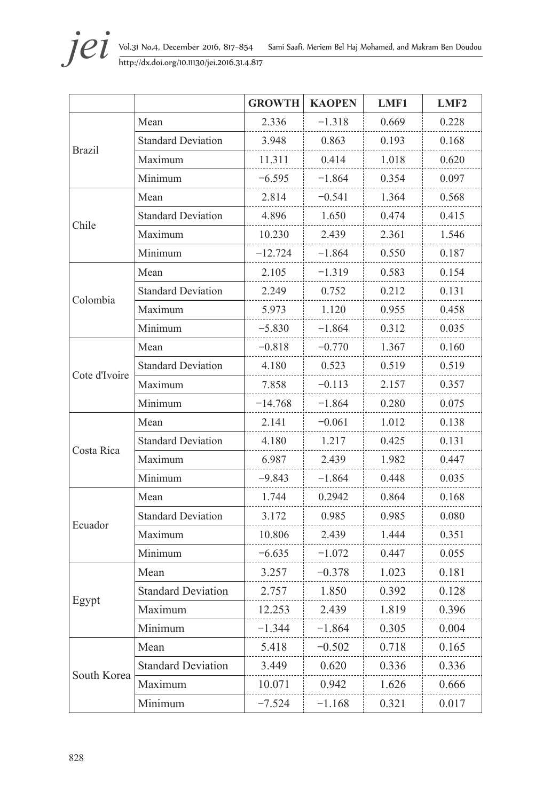

|               |                           | <b>GROWTH</b> | <b>KAOPEN</b> | LMF1  | LMF <sub>2</sub> |
|---------------|---------------------------|---------------|---------------|-------|------------------|
|               | Mean                      | 2.336         | $-1.318$      | 0.669 | 0.228            |
|               | <b>Standard Deviation</b> | 3.948         | 0.863         | 0.193 | 0.168            |
| <b>Brazil</b> | Maximum                   | 11.311        | 0.414         | 1.018 | 0.620            |
|               | Minimum                   | $-6.595$      | $-1.864$      | 0.354 | 0.097            |
|               | Mean                      | 2.814         | $-0.541$      | 1.364 | 0.568            |
|               | <b>Standard Deviation</b> | 4.896         | 1.650         | 0.474 | 0.415            |
| Chile         | Maximum                   | 10.230        | 2.439         | 2.361 | 1.546            |
|               | Minimum                   | $-12.724$     | $-1.864$      | 0.550 | 0.187            |
|               | Mean                      | 2.105         | $-1.319$      | 0.583 | 0.154            |
|               | <b>Standard Deviation</b> | 2.249         | 0.752         | 0.212 | 0.131            |
| Colombia      | Maximum                   | 5.973         | 1.120         | 0.955 | 0.458            |
|               | Minimum                   | $-5.830$      | $-1.864$      | 0.312 | 0.035            |
|               | Mean                      | $-0.818$      | $-0.770$      | 1.367 | 0.160            |
| Cote d'Ivoire | <b>Standard Deviation</b> | 4.180         | 0.523         | 0.519 | 0.519            |
|               | Maximum                   | 7.858         | $-0.113$      | 2.157 | 0.357            |
|               | Minimum                   | $-14.768$     | $-1.864$      | 0.280 | 0.075            |
|               | Mean                      | 2.141         | $-0.061$      | 1.012 | 0.138            |
| Costa Rica    | <b>Standard Deviation</b> | 4.180         | 1.217         | 0.425 | 0.131            |
|               | Maximum                   | 6.987         | 2.439         | 1.982 | 0.447            |
|               | Minimum                   | $-9.843$      | $-1.864$      | 0.448 | 0.035            |
|               | Mean                      | 1.744         | 0.2942        | 0.864 | 0.168            |
|               | <b>Standard Deviation</b> | 3.172         | 0.985         | 0.985 | 0.080            |
| Ecuador       | Maximum                   | 10.806        | 2.439         | 1.444 | 0.351            |
|               | Minimum                   | $-6.635$      | $-1.072$      | 0.447 | 0.055            |
|               | Mean                      | 3.257         | $-0.378$      | 1.023 | 0.181            |
|               | <b>Standard Deviation</b> | 2.757         | 1.850         | 0.392 | 0.128            |
| Egypt         | Maximum                   | 12.253        | 2.439         | 1.819 | 0.396            |
|               | Minimum                   | $-1.344$      | $-1.864$      | 0.305 | 0.004            |
|               | Mean                      | 5.418         | $-0.502$      | 0.718 | 0.165            |
|               | <b>Standard Deviation</b> | 3.449         | 0.620         | 0.336 | 0.336            |
| South Korea   | Maximum                   | 10.071        | 0.942         | 1.626 | 0.666            |
|               | Minimum                   | $-7.524$      | $-1.168$      | 0.321 | 0.017            |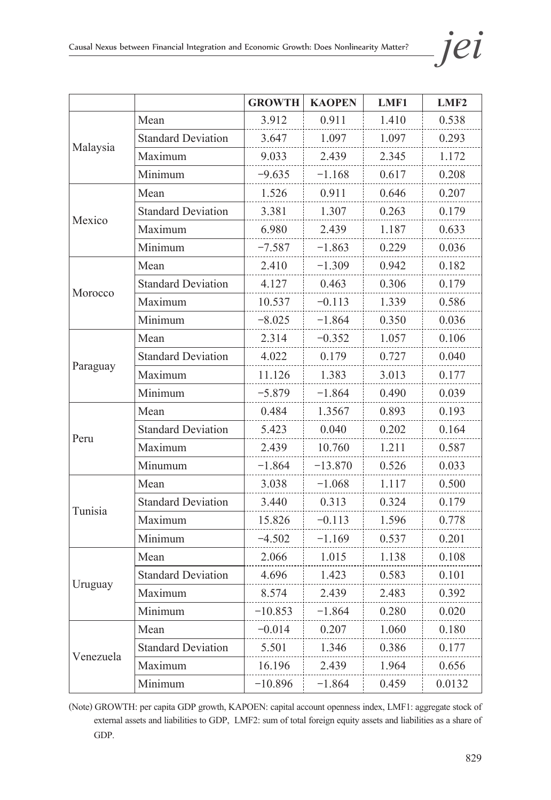|           |                           | <b>GROWTH</b> | <b>KAOPEN</b> | LMF1  | LMF <sub>2</sub> |
|-----------|---------------------------|---------------|---------------|-------|------------------|
|           | Mean                      | 3.912         | 0.911         | 1.410 | 0.538            |
|           | <b>Standard Deviation</b> | 3.647         | 1.097         | 1.097 | 0.293            |
| Malaysia  | Maximum                   | 9.033         | 2.439         | 2.345 | 1.172            |
|           | Minimum                   | $-9.635$      | $-1.168$      | 0.617 | 0.208            |
|           | Mean                      | 1.526         | 0.911         | 0.646 | 0.207            |
| Mexico    | <b>Standard Deviation</b> | 3.381         | 1.307         | 0.263 | 0.179            |
|           | Maximum                   | 6.980         | 2.439         | 1.187 | 0.633            |
|           | Minimum                   | $-7.587$      | $-1.863$      | 0.229 | 0.036            |
|           | Mean                      | 2.410         | $-1.309$      | 0.942 | 0.182            |
|           | <b>Standard Deviation</b> | 4.127         | 0.463         | 0.306 | 0.179            |
| Morocco   | Maximum                   | 10.537        | $-0.113$      | 1.339 | 0.586            |
|           | Minimum                   | $-8.025$      | $-1.864$      | 0.350 | 0.036            |
|           | Mean                      | 2.314         | $-0.352$      | 1.057 | 0.106            |
|           | <b>Standard Deviation</b> | 4.022         | 0.179         | 0.727 | 0.040            |
| Paraguay  | Maximum                   | 11.126        | 1.383         | 3.013 | 0.177            |
|           | Minimum                   | $-5.879$      | $-1.864$      | 0.490 | 0.039            |
|           | Mean                      | 0.484         | 1.3567        | 0.893 | 0.193            |
|           | <b>Standard Deviation</b> | 5.423         | 0.040         | 0.202 | 0.164            |
| Peru      | Maximum                   | 2.439         | 10.760        | 1.211 | 0.587            |
|           | Minumum                   | $-1.864$      | $-13.870$     | 0.526 | 0.033            |
|           | Mean                      | 3.038         | $-1.068$      | 1.117 | 0.500            |
|           | <b>Standard Deviation</b> | 3.440         | 0.313         | 0.324 | 0.179            |
| Tunisia   | Maximum                   | 15.826        | $-0.113$      | 1.596 | 0.778            |
|           | Minimum                   | $-4.502$      | $-1.169$      | 0.537 | 0.201            |
|           | Mean                      | 2.066         | 1.015         | 1.138 | 0.108            |
|           | <b>Standard Deviation</b> | 4.696         | 1.423         | 0.583 | 0.101            |
| Uruguay   | Maximum                   | 8.574         | 2.439         | 2.483 | 0.392            |
|           | Minimum                   | $-10.853$     | $-1.864$      | 0.280 | 0.020            |
|           | Mean                      | $-0.014$      | 0.207         | 1.060 | 0.180            |
|           | <b>Standard Deviation</b> | 5.501         | 1.346         | 0.386 | 0.177            |
| Venezuela | Maximum                   | 16.196        | 2.439         | 1.964 | 0.656            |
|           | Minimum                   | $-10.896$     | $-1.864$      | 0.459 | 0.0132           |

(Note) GROWTH: per capita GDP growth, KAPOEN: capital account openness index, LMF1: aggregate stock of external assets and liabilities to GDP, LMF2: sum of total foreign equity assets and liabilities as a share of GDP.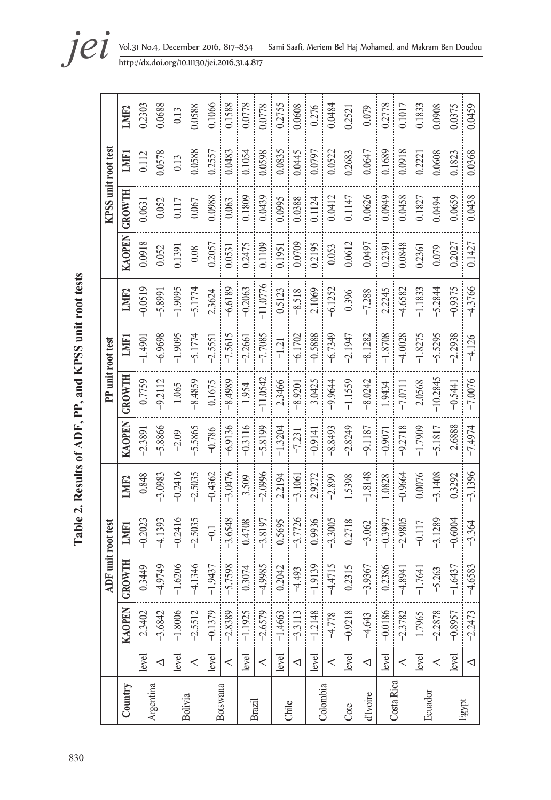| i<br>                               |
|-------------------------------------|
|                                     |
| m<br>ĺ<br>ĺ                         |
| $\frac{1}{2}$<br>$\frac{1}{2}$<br>Ç |
| i                                   |
| Table 2 Resu<br>i<br>Í              |
|                                     |
|                                     |
|                                     |
|                                     |
|                                     |
| $\overline{30}$<br>3                |

|            |                          |               |                        | DF unit root test |           |           | PP unit root test |                |            |        | KPSS unit root test |        |                   |
|------------|--------------------------|---------------|------------------------|-------------------|-----------|-----------|-------------------|----------------|------------|--------|---------------------|--------|-------------------|
| Country    |                          | <b>KAOPEN</b> | <b>UWTH</b><br>$G_{R}$ | <b>LMF1</b>       | LMIF2     | KAOPEN    | GROWTH            | LMIF1          | LMIF2      | KAOPEN | GROWTH              | LMF1   | LMIF <sub>2</sub> |
|            | level                    | 2.3402        | 3449                   | $-0.2023$         | 0.848     | $-2.3891$ | 0.7759            | $-1.4901$      | $-0.0519$  | 0.0918 | 0.0631              | 0.112  | 0.2303            |
| Argentina  | $\triangleleft$          | $-3.6842$     | 9749                   | $-4.1393$         | $-3.0983$ | $-5.8866$ | $-9.2112$         | $-6.9698$      | $-5.8991$  | 0.052  | 0.052               | 0.0578 | 0.0688            |
|            | level                    | $-1.8006$     | $-1.6206$              | $-0.2416$         | $-0.2416$ | $-2.09$   | 1.065             | $-1.9095$      | $-1.9095$  | 0.1391 | 0.117               | 0.13   | 0.13              |
| Bolivia    | $\prec$                  | $-2.5512$     | .1346<br>4.            | $-2.5035$         | $-2.5035$ | $-5.5865$ | $-8.4859$         | $-5.1774$      | $-5.1774$  | 0.08   | 0.067               | 0.0588 | 0.0588            |
|            | level                    | $-0.1379$     | $-1.9437$              | $\overline{a}$    | $-0.4362$ | $-0.786$  | 0.1675            | $-2.5551$      | 2.3624     | 0.2057 | 0.0988              | 0.2557 | 0.1066            |
| Botswana   | $\triangleleft$          | $-2.8389$     | .7598<br>ှ             | $-3.6548$         | $-3.0476$ | $-6.9136$ | $-8.4989$         | $-7.5615$      | $-6.6189$  | 0.0531 | 0.063               | 0.0483 | 0.1588            |
|            | level                    | $-1.1925$     | 0.3074                 | 0.4708            | 3.509     | $-0.3116$ | 1.954             | $-2.2661$      | $-0.2063$  | 0.2475 | 0.1809              | 0.1054 | 0.0778            |
| Brazil     | $\triangleleft$          | $-2.6579$     | $-4.9985$              | $-3.8197$         | $-2.0996$ | $-5.8199$ | $-11.0542$        | $-7.7085$      | $-11.0776$ | 0.1109 | 0.0439              | 0.0598 | 0.0778            |
| Chile      | level                    | $-1.4663$     | 0.2042                 | 0.5695            | 2.2194    | $-1.3204$ | 2.3466            | $-1.21$        | 0.5123     | 0.1951 | 0.0995              | 0.0835 | 0.2755            |
|            | $\triangleleft$          | $-3.3113$     | $-4.493$               | $-3.7726$         | $-3.1061$ | $-7.231$  | $-8.9201$         | $-6.1702$      | $-8.518$   | 0.0709 | 0.0388              | 0.0445 | 0.0608            |
|            | level                    | $-1.2148$     | $-1.9139$              | 0.9936            | 2.9272    | $-0.9141$ | 3.0425            | $-0.5888$<br>ļ | 2.1069     | 0.2195 | 0.1124              | 0.0797 | 0.276             |
| Colombia   | $\triangleleft$          | $-4.778$      | 4715<br><u>नं</u>      | $-3.3005$         | $-2.899$  | $-8.8493$ | $-9.9644$         | $-6.7349$      | $-6.1252$  | 0.053  | 0.0412              | 0.0522 | 0.0484            |
| Cote       | level                    | $-0.9218$     | 0.2315                 | 0.2718            | 1.5398    | $-2.8249$ | $-1.1559$         | $-2.1947$      | 0.396      | 0.0612 | 0.1147              | 0.2683 | 0.2521            |
| d'Ivoire   | $\triangleleft$          | $-4.643$      | $-3.9367$              | $-3.062$          | $-1.8148$ | $-9.1187$ | $-8.0242$         | $-8.1282$      | $-7.288$   | 0.0497 | 0.0626              | 0.0647 | 0.079             |
|            | $ $ evel                 | $-0.0186$     | 0.2386                 | $-0.3997$         | 1.0828    | $-0.9071$ | 1.9434            | $-1.8708$      | 2.2245     | 0.2391 | 0.0949              | 0.1689 | 0.2778            |
| Costa Rica | $\triangleleft$          | $-2.3782$     | 8941<br>4.             | $-2.9805$         | $-0.9664$ | $-9.2718$ | $-7.0711$         | $-4.0028$      | $-4.6582$  | 0.0848 | 0.0458              | 0.0918 | 0.1017            |
|            | level                    | 1.7965        | .7641<br>Ŧ             | $-0.117$          | 0.0076    | $-1.7909$ | 2.0568            | $-1.8275$      | $-1.1833$  | 0.2361 | 0.1827              | 0.2221 | 0.1833            |
| Ecuador    | $\triangleleft$          | $-2.2878$     | .263<br>$\tilde{C}$    | $-3.1289$         | $-3.1408$ | $-5.1817$ | $-10.2845$        | $-5.5295$      | $-5.2844$  | 0.079  | 0.0494              | 0.0608 | 0.0908            |
|            | level                    | $-0.8957$     | 6437<br>Ŧ              | $-0.6004$         | 0.3292    | 2.6888    | $-0.5441$         | $-2.2938$      | $-0.9375$  | 0.2027 | 0.0659              | 0.1823 | 0.0375            |
| Egypt      | $\overline{\phantom{0}}$ | $-2.2473$     | $-4,6583$              | $-3.364$          | $-3.1396$ | $-7.4974$ | $-7.0076$         | $-4.126$       | $-4.3766$  | 0.1427 | 0.0438              | 0.0368 | 0.0459            |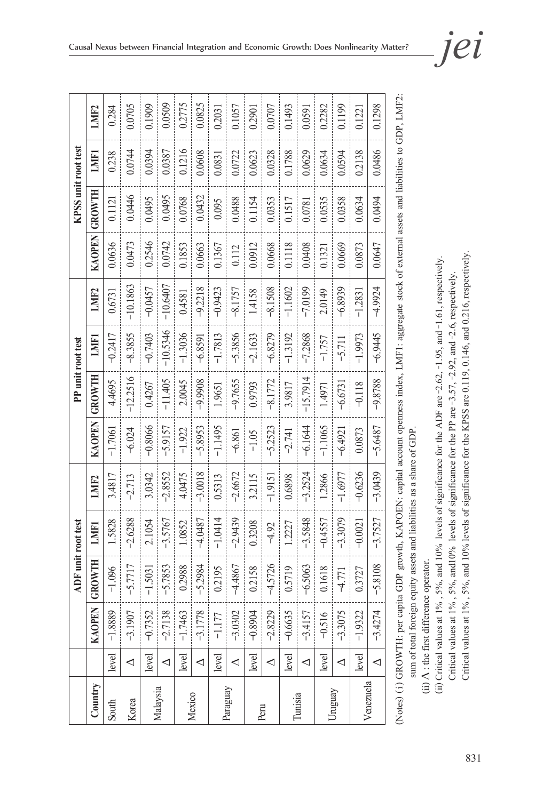|           |       |               | ADF unit root test    |           |           |               | PP unit root test |           |                   |        | KPSS unit root test |        |        |
|-----------|-------|---------------|-----------------------|-----------|-----------|---------------|-------------------|-----------|-------------------|--------|---------------------|--------|--------|
| Country   |       | <b>KAOPEN</b> | ROWTH<br>$\mathbf{C}$ | LMF1      | LMIF2     | <b>KAOPEN</b> | GROWTH            | LMFI      | LMI <sub>F2</sub> | KAOPEN | GROWTH              | LMF1   | LMIF2  |
| South     | level | $-1.8889$     | $-1.096$              | 1.5828    | 3.4817    | $-1.7061$     | 4.4695            | $-0.2417$ | 0.6731            | 0.0636 | 0.1121              | 0.238  | 0.284  |
| Korea     | ◁     | $-3.1907$     | $-5.7717$             | $-2.6288$ | $-2.713$  | $-6.024$      | $-12.2516$        | $-8.3855$ | $-10.1863$        | 0.0473 | 0.0446              | 0.0744 | 0.0705 |
|           | level | $-0.7352$     | $-1.5031$             | 2.1054    | 3.0342    | $-0.8066$     | 0.4267            | $-0.7403$ | $-0.0457$         | 0.2546 | 0.0495              | 0.0394 | 0.1909 |
| Malaysia  | ◁     | $-2.7138$     | $-5.7853$             | -3.5767   | $-2.8552$ | $-5.9157$     | $-11.405$         | 10.5346   | $-10.6407$        | 0.0742 | 0.0495              | 0.0387 | 0.0509 |
|           | level | $-1.7463$     | 0.2988                | 1.0852    | 4.0475    | $-1.922$      | 2.0045            | $-1.3036$ | 0.4581            | 0.1853 | 0.0768              | 0.1216 | 0.2775 |
| Mexico    | ◁     | $-3.1778$     | $-5.2984$             | $-4.0487$ | $-3.0018$ | $-5.8953$     | -9.9908           | $-6.8591$ | $-9.2218$         | 0.0663 | 0.0432              | 0.0608 | 0.0825 |
|           | level | $-1.177$      | 0.2195                | $-1.0414$ | 0.5313    | $-1.1495$     | 1.9651            | $-1.7813$ | $-0.9423$         | 0.1367 | 0.095               | 0.0831 | 0.2031 |
| Paraguay  | ◁     | $-3.0302$     | $-4.4867$             | $-2.9439$ | $-2.6672$ | $-6.861$      | $-9.7655$         | $-5.3856$ | $-8.1757$         | 0.112  | 0.0488              | 0.0722 | 0.1057 |
|           | level | $-0.8904$     | 0.2158                | 0.3208    | 3.2115    | $-1.05$       | 0.9793            | $-2.1633$ | 1.4158            | 0.0912 | 0.1154              | 0.0623 | 0.2901 |
| Peru      | ◁     | $-2.8229$     | $-4.5726$             | $-4.92$   | $-1.9151$ | $-5.2523$     | $-8.1772$         | $-6.8279$ | $-8.1508$         | 0.0668 | 0.0353              | 0.0328 | 0.0707 |
|           | level | $-0.6635$     | 0.5719                | 1.2227    | 0.6898    | $-2.741$      | 3.9817            | $-1.3192$ | $-1.1602$         | 0.1118 | 0.1517              | 0.1788 | 0.1493 |
| Tunisia   | ◁     | $-3.4157$     | $-6.5063$             | $-3.5848$ | $-3.2524$ | -6.1644       | $-15.7914$        | $-7.2868$ | $-7.0199$         | 0.0408 | 0.0781              | 0.0629 | 0.0591 |
|           | level | $-0.516$      | 0.1618                | $-0.4557$ | 1.2866    | $-1.1065$     | 1.4971            | $-1.757$  | 2.0149            | 0.1321 | 0.0535              | 0.0634 | 0.2282 |
| Uruguay   | ◁     | $-3.3075$     | $-4.771$              | $-3.3079$ | $-1.6977$ | $-6.4921$     | $-6.6731$         | $-5.711$  | $-6.8939$         | 0.0669 | 0.0358              | 0.0594 | 0.1199 |
|           | level | $-1.9322$     | 0.3727                | $-0.0021$ | $-0.6236$ | 0.0873        | $-0.118$          | $-1.9973$ | $-1.2831$         | 0.0873 | 0.0634              | 0.2138 | 0.1221 |
| Venezuela | ◁     | $-3.4274$     | $-5.8108$             | $-3.7527$ | $-3.0439$ | $-5.6487$     | $-9.8788$         | $-6.9445$ | $-4.9924$         | 0.0647 | 0.0494              | 0.0486 | 0.1298 |
|           |       |               |                       |           |           |               |                   |           |                   |        |                     |        |        |

(Notes) (i) GROWTH: per capita GDP growth, KAPOEN: capital account openness index, LMF1: aggregate stock of external assets and liabilities to GDP, LMF2: (Notes) (i) GROWTH: per capita GDP growth, KAPOEN: capital account openness index, LMF1: aggregate stock of external assets and liabilities to GDP, LMF2: sum of total foreign equity assets and liabilities as a share of GDP. sum of total foreign equity assets and liabilities as a share of GDP.

(ii)  $\Delta$  : the first difference operator. (ii)  $\Delta$  : the first difference operator.

Critical values at 1%, 5%, and 10% levels of significance for the KPSS are 0.119, 0.146, and 0.216, respectively. Critical values at 1%, 5%, and 10% levels of significance for the KPSS are 0.119, 0.146, and 0.216, respectively. (ii) Critical values at 1%, 5%, and 10% levels of significance for the ADF are -2.62, -1.95, and -1.61, respectively. (iii) Critical values at 1% , 5%, and 10% levels of significance for the ADF are −2.62, −1.95, and −1.61, respectively. Critical values at 1%, 5%, and 10% levels of significance for the PP are -3.57, -2.92, and -2.6, respectively. Critical values at 1% , 5%, and10% levels of significance for the PP are −3.57, −2.92, and −2.6, respectively.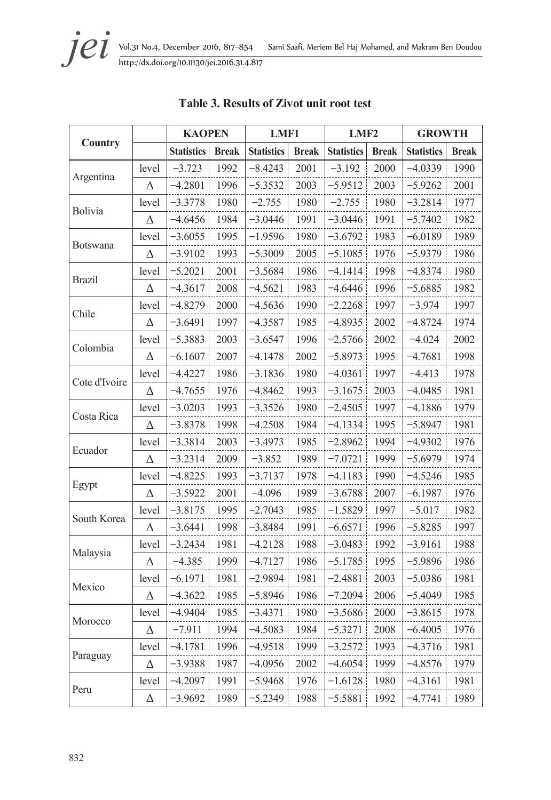|                 |          | <b>KAOPEN</b>     |              | LMF1              |              | LMF2              |              | <b>GROWTH</b>     |              |
|-----------------|----------|-------------------|--------------|-------------------|--------------|-------------------|--------------|-------------------|--------------|
| Country         |          | <b>Statistics</b> | <b>Break</b> | <b>Statistics</b> | <b>Break</b> | <b>Statistics</b> | <b>Break</b> | <b>Statistics</b> | <b>Break</b> |
|                 | level    | $-3.723$          | 1992         | $-8.4243$         | 2001         | $-3.192$          | 2000         | $-4.0339$         | 1990         |
| Argentina       | Δ        | $-4.2801$         | 1996         | $-5.3532$         | 2003         | $-5.9512$         | 2003         | $-5.9262$         | 2001         |
|                 | level    | -3.3778           | 1980         | $-2.755$          | 1980         | $-2.755$          | 1980         | $-3.2814$         | 1977         |
| <b>Bolivia</b>  | Δ        | $-4.6456$         | 1984         | $-3.0446$         | 1991         | $-3.0446$         | 1991         | $-5.7402$         | 1982         |
|                 | level    | $-3.6055$         | 1995         | $-1.9596$         | 1980         | $-3.6792$         | 1983         | $-6.0189$         | 1989         |
| <b>Botswana</b> | Δ        | $-3.9102$         | 1993         | $-5.3009$         | 2005         | $-5.1085$         | 1976         | $-5.9379$         | 1986         |
|                 | level    | $-5.2021$         | 2001         | $-3.5684$         | 1986         | -4.1414           | 1998         | $-4.8374$         | 1980         |
| <b>Brazil</b>   | Δ        | $-4.3617$         | 2008         | $-4.5621$         | 1983         | -4.6446           | 1996         | $-5.6885$         | 1982         |
|                 | level    | $-4.8279$         | 2000         | $-4.5636$         | 1990         | $-2.2268$         | 1997         | $-3.974$          | 1997         |
| Chile           | Δ        | -3.6491           | 1997         | $-4.3587$         | 1985         | $-4.8935$         | 2002         | -4.8724           | 1974         |
|                 | level    | $-5.3883$         | 2003         | $-3.6547$         | 1996         | $-2.5766$         | 2002         | $-4.024$          | 2002         |
| Colombia        | Δ        | $-6.1607$         | 2007         | $-4.1478$         | 2002         | $-5.8973$         | 1995         | $-4.7681$         | 1998         |
|                 | level    | $-4.4227$         | 1986         | $-3.1836$         | 1980         | $-4.0361$         | 1997         | $-4.413$          | 1978         |
| Cote d'Ivoire   | Δ        | $-4.7655$         | 1976         | $-4.8462$         | 1993         | $-3.1675$         | 2003         | $-4.0485$         | 1981         |
|                 | level    | $-3.0203$         | 1993         | $-3.3526$         | 1980         | $-2.4505$         | 1997         | $-4.1886$         | 1979         |
| Costa Rica      | Δ        | $-3.8378$         | 1998         | $-4.2508$         | 1984         | $-4.1334$         | 1995         | $-5.8947$         | 1981         |
|                 | level    | $-3.3814$         | 2003         | -3.4973           | 1985         | $-2.8962$         | 1994         | -4.9302           | 1976         |
| Ecuador         | Δ        | $-3.2314$         | 2009         | $-3.852$          | 1989         | $-7.0721$         | 1999         | $-5.6979$         | 1974         |
|                 | level    | $-4.8225$         | 1993         | $-3.7137$         | 1978         | $-4.1183$         | 1990         | $-4.5246$         | 1985         |
| Egypt           | $\Delta$ | $-3.5922$         | 2001         | $-4.096$          | 1989         | $-3.6788$         | 2007         | $-6.1987$         | 1976         |
| South Korea     | level    | $-3.8175$         | 1995         | $-2.7043$         | 1985         | $-1.5829$         | 1997         | $-5.017$          | 1982         |
|                 | Δ        | $-3.6441$         | 1998         | -3.8484           | 1991         | $-6.6571$         | 1996         | $-5.8285$         | 1997         |
| Malaysia        | level    | $-3.2434$         | 1981         | $-4.2128$         | 1988         | $-3.0483$         | 1992         | $-3.9161$         | 1988         |
|                 | Δ        | $-4.385$          | 1999         | $-4.7127$         | 1986         | $-5.1785$         | 1995         | $-5.9896$         | 1986         |
| Mexico          | level    | $-6.1971$         | 1981         | $-2.9894$         | 1981         | $-2.4881$         | 2003         | $-5.0386$         | 1981         |
|                 | Δ        | $-4.3622$         | 1985         | $-5.8946$         | 1986         | $-7.2094$         | 2006         | $-5.4049$         | 1985         |
|                 | level    | -4.9404           | 1985         | -3.4371           | 1980         | $-3.5686$         | 2000         | $-3.8615$         | 1978         |
| Morocco         | Δ        | -7.911            | 1994         | $-4.5083$         | 1984         | $-5.3271$         | 2008         | $-6.4005$         | 1976         |
|                 | level    | $-4.1781$         | 1996         | -4.9518           | 1999         | $-3.2572$         | 1993         | $-4.3716$         | 1981         |
| Paraguay        | Δ        | $-3.9388$         | 1987         | $-4.0956$         | 2002         | $-4.6054$         | 1999         | $-4.8576$         | 1979         |
| Peru            | level    | $-4.2097$         | 1991         | $-5.9468$         | 1976         | $-1.6128$         | 1980         | $-4.3161$         | 1981         |
|                 | Δ        | $-3.9692$         | 1989         | $-5.2349$         | 1988         | $-5.5881$         | 1992         | $-4.7741$         | 1989         |

## **Table 3. Results of Zivot unit root test**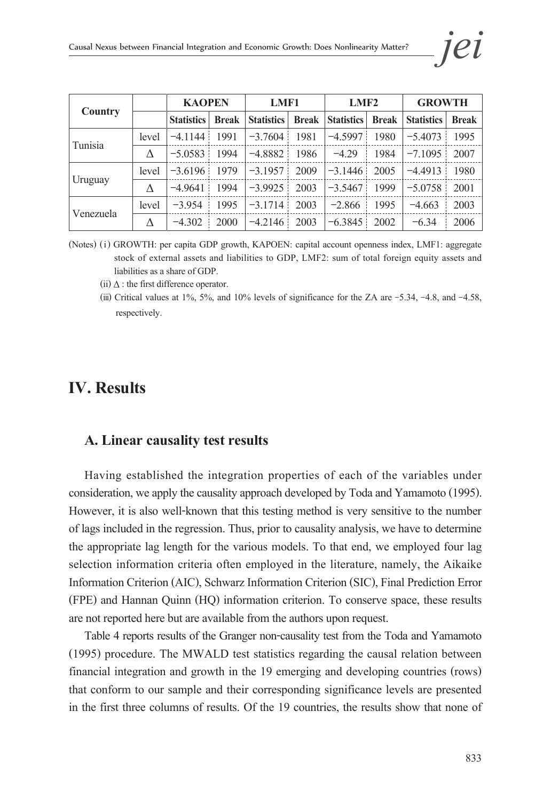|                |       | <b>KAOPEN</b>     |              | LMF1              |              | LMF <sub>2</sub>  |              | <b>GROWTH</b>     |              |
|----------------|-------|-------------------|--------------|-------------------|--------------|-------------------|--------------|-------------------|--------------|
| <b>Country</b> |       | <b>Statistics</b> | <b>Break</b> | <b>Statistics</b> | <b>Break</b> | <b>Statistics</b> | <b>Break</b> | <b>Statistics</b> | <b>Break</b> |
| Tunisia        | level | $-4.1144$         | 1991         | $-3.7604$         | 1981         | $-4.5997$         | 1980         | $-5.4073$         | 1995         |
|                | Λ     | $-5.0583$         | 1994         | $-4.8882:$        | 1986         | $-4.29$           | 1984         | $-7.1095$         | 2007         |
|                | level | $-3.6196$         | 1979         | $-3.1957$         | 2009         | $-3.1446$         | 2005         | $-4.4913$         | 1980         |
| Uruguay        |       | $-4.9641$         | 1994         | $-3.9925$         | 2003         | $-3.5467$         | 1999         | $-5.0758$         | 2001         |
|                | level | $-3.954$          | 1995         | $-3.1714$         | 2003         | $-2.866$          | 1995         | $-4.663$          | 2003         |
| Venezuela      |       | $-4.302$          | 2000         | $-4.2146$         | 2003         | $-6.3845$         | 2002         | $-6.34$           | 2006         |

- (Notes) (i) GROWTH: per capita GDP growth, KAPOEN: capital account openness index, LMF1: aggregate stock of external assets and liabilities to GDP, LMF2: sum of total foreign equity assets and liabilities as a share of GDP.
	- (ii)  $\Delta$  : the first difference operator.
	- (iii) Critical values at 1%, 5%, and 10% levels of significance for the ZA are −5.34, −4.8, and −4.58, respectively.

## **IV. Results**

#### **A. Linear causality test results**

Having established the integration properties of each of the variables under consideration, we apply the causality approach developed by Toda and Yamamoto (1995). However, it is also well-known that this testing method is very sensitive to the number of lags included in the regression. Thus, prior to causality analysis, we have to determine the appropriate lag length for the various models. To that end, we employed four lag selection information criteria often employed in the literature, namely, the Aikaike Information Criterion (AIC), Schwarz Information Criterion (SIC), Final Prediction Error (FPE) and Hannan Quinn (HQ) information criterion. To conserve space, these results are not reported here but are available from the authors upon request.

Table 4 reports results of the Granger non-causality test from the Toda and Yamamoto (1995) procedure. The MWALD test statistics regarding the causal relation between financial integration and growth in the 19 emerging and developing countries (rows) that conform to our sample and their corresponding significance levels are presented in the first three columns of results. Of the 19 countries, the results show that none of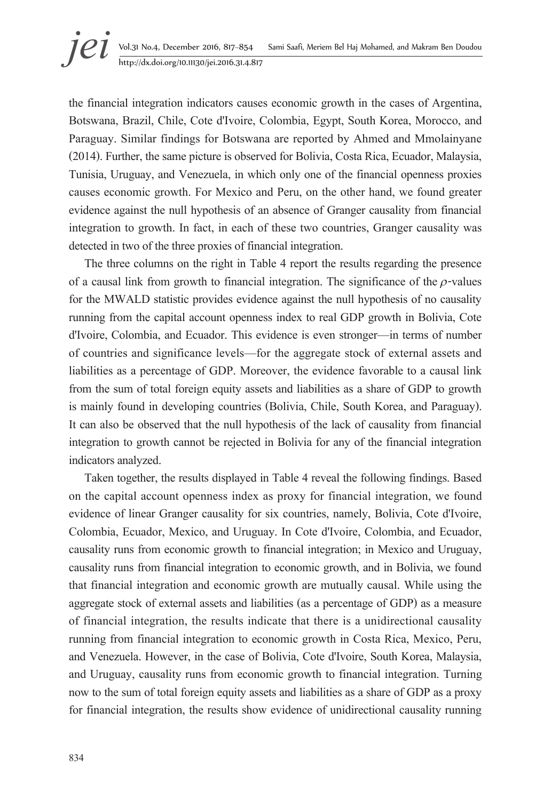the financial integration indicators causes economic growth in the cases of Argentina, Botswana, Brazil, Chile, Cote d'Ivoire, Colombia, Egypt, South Korea, Morocco, and Paraguay. Similar findings for Botswana are reported by Ahmed and Mmolainyane (2014). Further, the same picture is observed for Bolivia, Costa Rica, Ecuador, Malaysia, Tunisia, Uruguay, and Venezuela, in which only one of the financial openness proxies causes economic growth. For Mexico and Peru, on the other hand, we found greater evidence against the null hypothesis of an absence of Granger causality from financial integration to growth. In fact, in each of these two countries, Granger causality was detected in two of the three proxies of financial integration.

The three columns on the right in Table 4 report the results regarding the presence of a causal link from growth to financial integration. The significance of the  $\rho$ -values for the MWALD statistic provides evidence against the null hypothesis of no causality running from the capital account openness index to real GDP growth in Bolivia, Cote d'Ivoire, Colombia, and Ecuador. This evidence is even stronger—in terms of number of countries and significance levels—for the aggregate stock of external assets and liabilities as a percentage of GDP. Moreover, the evidence favorable to a causal link from the sum of total foreign equity assets and liabilities as a share of GDP to growth is mainly found in developing countries (Bolivia, Chile, South Korea, and Paraguay). It can also be observed that the null hypothesis of the lack of causality from financial integration to growth cannot be rejected in Bolivia for any of the financial integration indicators analyzed.

Taken together, the results displayed in Table 4 reveal the following findings. Based on the capital account openness index as proxy for financial integration, we found evidence of linear Granger causality for six countries, namely, Bolivia, Cote d'Ivoire, Colombia, Ecuador, Mexico, and Uruguay. In Cote d'Ivoire, Colombia, and Ecuador, causality runs from economic growth to financial integration; in Mexico and Uruguay, causality runs from financial integration to economic growth, and in Bolivia, we found that financial integration and economic growth are mutually causal. While using the aggregate stock of external assets and liabilities (as a percentage of GDP) as a measure of financial integration, the results indicate that there is a unidirectional causality running from financial integration to economic growth in Costa Rica, Mexico, Peru, and Venezuela. However, in the case of Bolivia, Cote d'Ivoire, South Korea, Malaysia, and Uruguay, causality runs from economic growth to financial integration. Turning now to the sum of total foreign equity assets and liabilities as a share of GDP as a proxy for financial integration, the results show evidence of unidirectional causality running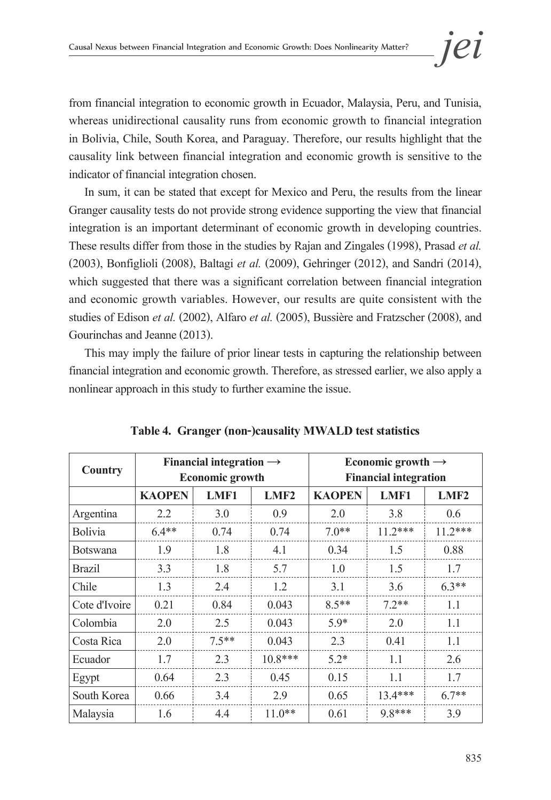from financial integration to economic growth in Ecuador, Malaysia, Peru, and Tunisia, whereas unidirectional causality runs from economic growth to financial integration in Bolivia, Chile, South Korea, and Paraguay. Therefore, our results highlight that the causality link between financial integration and economic growth is sensitive to the indicator of financial integration chosen.

In sum, it can be stated that except for Mexico and Peru, the results from the linear Granger causality tests do not provide strong evidence supporting the view that financial integration is an important determinant of economic growth in developing countries. These results differ from those in the studies by Rajan and Zingales (1998), Prasad *et al.* (2003), Bonfiglioli (2008), Baltagi *et al.* (2009), Gehringer (2012), and Sandri (2014), which suggested that there was a significant correlation between financial integration and economic growth variables. However, our results are quite consistent with the studies of Edison *et al.* (2002), Alfaro *et al.* (2005), Bussière and Fratzscher (2008), and Gourinchas and Jeanne (2013).

This may imply the failure of prior linear tests in capturing the relationship between financial integration and economic growth. Therefore, as stressed earlier, we also apply a nonlinear approach in this study to further examine the issue.

| <b>Country</b>  |               | Financial integration $\rightarrow$<br><b>Economic growth</b> |                  |               | Economic growth $\rightarrow$<br><b>Financial integration</b> |           |
|-----------------|---------------|---------------------------------------------------------------|------------------|---------------|---------------------------------------------------------------|-----------|
|                 | <b>KAOPEN</b> | LMF1                                                          | LMF <sub>2</sub> | <b>KAOPEN</b> | LMF1                                                          | LMF2      |
| Argentina       | 2.2           | 3.0                                                           | 0.9              | 2.0           | 3.8                                                           | 0.6       |
| <b>Bolivia</b>  | $6.4**$       | 0.74                                                          | 0.74             | $7.0**$       | $11.2***$                                                     | $11.2***$ |
| <b>Botswana</b> | 1.9           | 1.8                                                           | 4.1              | 0.34          | 1.5                                                           | 0.88      |
| <b>Brazil</b>   | 3.3           | 1.8                                                           | 5.7              | 1.0           | 1.5                                                           | 1.7       |
| Chile           | 1.3           | 2.4                                                           | 1.2              | 3.1           | 3.6                                                           | $6.3**$   |
| Cote d'Ivoire   | 0.21          | 0.84                                                          | 0.043            | $8.5**$       | $7.2**$                                                       | 1.1       |
| Colombia        | 2.0           | 2.5                                                           | 0.043            | $5.9*$        | 2.0                                                           | 1.1       |
| Costa Rica      | 2.0           | $7.5**$                                                       | 0.043            | 2.3           | 0.41                                                          | 1.1       |
| Ecuador         | 1.7           | 2.3                                                           | $10.8***$        | $5.2*$        | 1.1                                                           | 2.6       |
| Egypt           | 0.64          | 2.3                                                           | 0.45             | 0.15          | 1.1                                                           | 1.7       |
| South Korea     | 0.66          | 3.4                                                           | 2.9              | 0.65          | $13.4***$                                                     | $6.7**$   |
| Malaysia        | 1.6           | 4.4                                                           | $11.0**$         | 0.61          | $9.8***$                                                      | 3.9       |

|  |  | Table 4. Granger (non-)causality MWALD test statistics |  |  |
|--|--|--------------------------------------------------------|--|--|
|--|--|--------------------------------------------------------|--|--|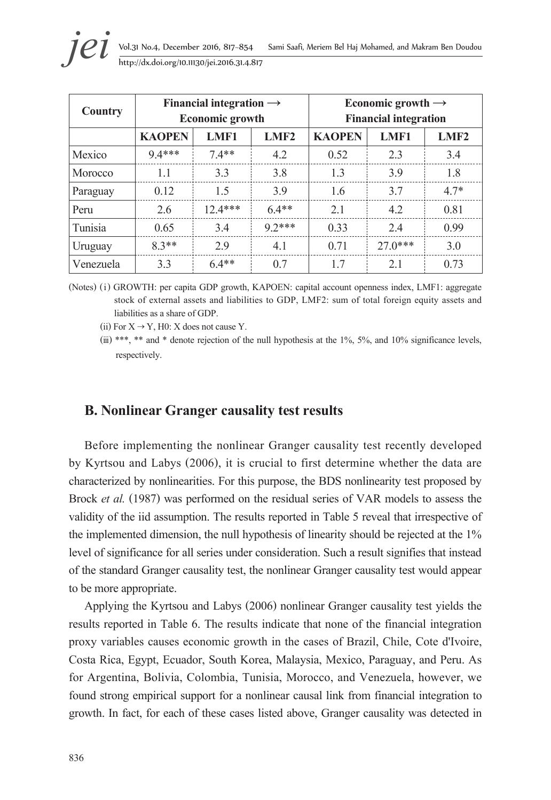| <b>Country</b> |               | Financial integration $\rightarrow$<br><b>Economic growth</b> |         |               | Economic growth $\rightarrow$<br><b>Financial integration</b> |        |
|----------------|---------------|---------------------------------------------------------------|---------|---------------|---------------------------------------------------------------|--------|
|                | <b>KAOPEN</b> | LMF1                                                          | LMF2    | <b>KAOPEN</b> | LMF1                                                          | LMF2   |
| Mexico         | $9.4***$      | $7.4**$                                                       | 4.2     | 0.52          | 2.3                                                           | 3.4    |
| Morocco        | 1.1           | 3.3                                                           | 3.8     | 1.3           | 3.9                                                           | 1.8    |
| Paraguay       | 0.12          | 1.5                                                           | 3.9     | 1.6           | 3.7                                                           | $4.7*$ |
| Peru           | 2.6           | $12.4***$                                                     | $6.4**$ | 2.1           | 4.2                                                           | 0.81   |
| Tunisia        | 0.65          | 3.4                                                           | $92***$ | 0.33          | 2.4                                                           | 0.99   |
| Uruguay        | $8.3**$       | 2.9                                                           | 4.1     | 0.71          | $27.0***$                                                     | 3.0    |
| Venezuela      | 3.3           | $6.4**$                                                       | 0.7     | 1.7           | 2.1                                                           | 0.73   |

(Notes) (i) GROWTH: per capita GDP growth, KAPOEN: capital account openness index, LMF1: aggregate stock of external assets and liabilities to GDP, LMF2: sum of total foreign equity assets and liabilities as a share of GDP.

(ii) For  $X \rightarrow Y$ , H0: X does not cause Y.

## **B. Nonlinear Granger causality test results**

Before implementing the nonlinear Granger causality test recently developed by Kyrtsou and Labys (2006), it is crucial to first determine whether the data are characterized by nonlinearities. For this purpose, the BDS nonlinearity test proposed by Brock *et al.* (1987) was performed on the residual series of VAR models to assess the validity of the iid assumption. The results reported in Table 5 reveal that irrespective of the implemented dimension, the null hypothesis of linearity should be rejected at the 1% level of significance for all series under consideration. Such a result signifies that instead of the standard Granger causality test, the nonlinear Granger causality test would appear to be more appropriate.

Applying the Kyrtsou and Labys (2006) nonlinear Granger causality test yields the results reported in Table 6. The results indicate that none of the financial integration proxy variables causes economic growth in the cases of Brazil, Chile, Cote d'Ivoire, Costa Rica, Egypt, Ecuador, South Korea, Malaysia, Mexico, Paraguay, and Peru. As for Argentina, Bolivia, Colombia, Tunisia, Morocco, and Venezuela, however, we found strong empirical support for a nonlinear causal link from financial integration to growth. In fact, for each of these cases listed above, Granger causality was detected in

<sup>(</sup>iii) \*\*\*, \*\* and \* denote rejection of the null hypothesis at the  $1\%$ ,  $5\%$ , and  $10\%$  significance levels, respectively.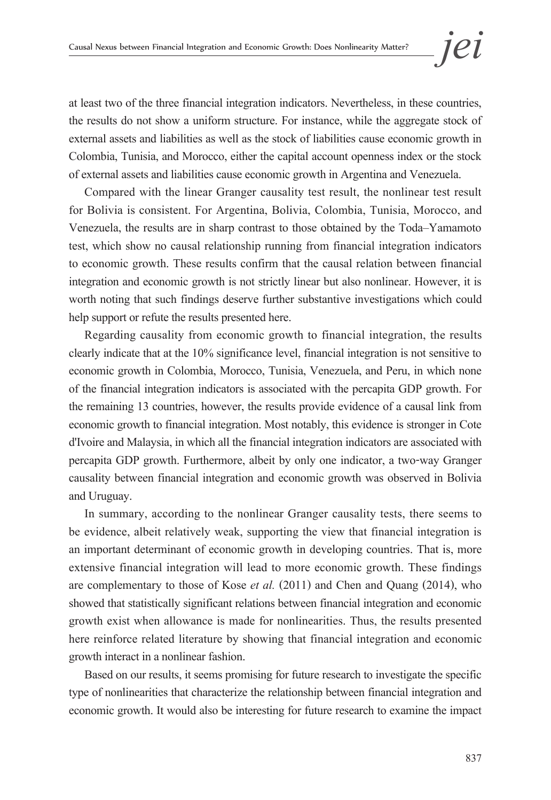at least two of the three financial integration indicators. Nevertheless, in these countries, the results do not show a uniform structure. For instance, while the aggregate stock of external assets and liabilities as well as the stock of liabilities cause economic growth in Colombia, Tunisia, and Morocco, either the capital account openness index or the stock of external assets and liabilities cause economic growth in Argentina and Venezuela.

Compared with the linear Granger causality test result, the nonlinear test result for Bolivia is consistent. For Argentina, Bolivia, Colombia, Tunisia, Morocco, and Venezuela, the results are in sharp contrast to those obtained by the Toda–Yamamoto test, which show no causal relationship running from financial integration indicators to economic growth. These results confirm that the causal relation between financial integration and economic growth is not strictly linear but also nonlinear. However, it is worth noting that such findings deserve further substantive investigations which could help support or refute the results presented here.

Regarding causality from economic growth to financial integration, the results clearly indicate that at the 10% significance level, financial integration is not sensitive to economic growth in Colombia, Morocco, Tunisia, Venezuela, and Peru, in which none of the financial integration indicators is associated with the percapita GDP growth. For the remaining 13 countries, however, the results provide evidence of a causal link from economic growth to financial integration. Most notably, this evidence is stronger in Cote d'Ivoire and Malaysia, in which all the financial integration indicators are associated with percapita GDP growth. Furthermore, albeit by only one indicator, a two-way Granger causality between financial integration and economic growth was observed in Bolivia and Uruguay.

In summary, according to the nonlinear Granger causality tests, there seems to be evidence, albeit relatively weak, supporting the view that financial integration is an important determinant of economic growth in developing countries. That is, more extensive financial integration will lead to more economic growth. These findings are complementary to those of Kose *et al.* (2011) and Chen and Quang (2014), who showed that statistically significant relations between financial integration and economic growth exist when allowance is made for nonlinearities. Thus, the results presented here reinforce related literature by showing that financial integration and economic growth interact in a nonlinear fashion.

Based on our results, it seems promising for future research to investigate the specific type of nonlinearities that characterize the relationship between financial integration and economic growth. It would also be interesting for future research to examine the impact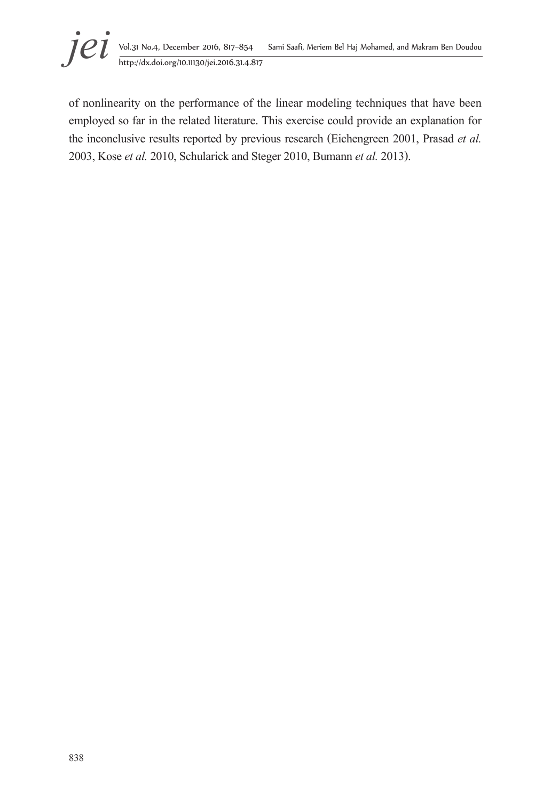

of nonlinearity on the performance of the linear modeling techniques that have been employed so far in the related literature. This exercise could provide an explanation for the inconclusive results reported by previous research (Eichengreen 2001, Prasad *et al.* 2003, Kose *et al.* 2010, Schularick and Steger 2010, Bumann *et al.* 2013).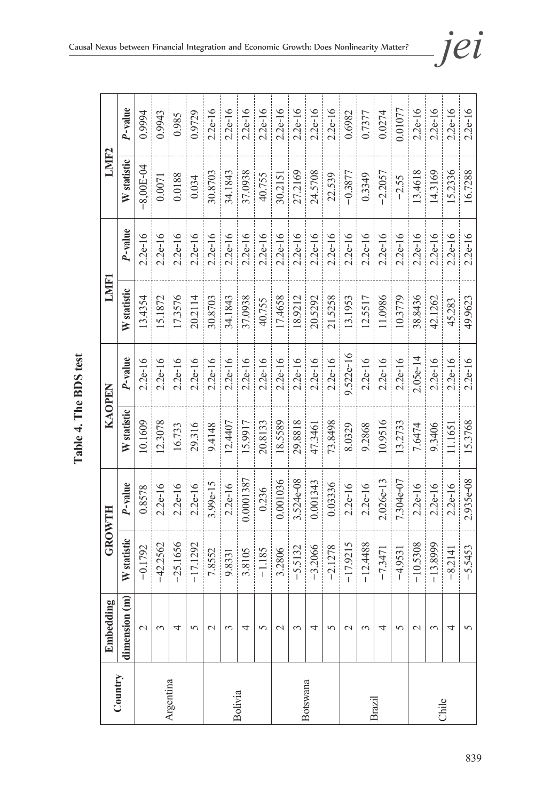|           | Embedding          |             | <b>GROWTH</b> | <b>KAOPEN</b> |             | LMF1        |            | LMF <sub>2</sub> |           |
|-----------|--------------------|-------------|---------------|---------------|-------------|-------------|------------|------------------|-----------|
| Country   | dimension (m)      | W statistic | P-value       | W statistic   | P-value     | W statistic | $P$ -value | W statistic      | P-value   |
|           | $\mathcal{L}$      | $-0.1792$   | 0.8578        | 10.1609       | $2.2e-16$   | 13.4354     | $2.2e-16$  | 8,00E-04         | 0.9994    |
|           | ς                  | $-42.2562$  | $2.2e-16$     | 12.3078       | $2.2e-16$   | 15.1872     | $2.2e-16$  | 0.0071           | 0.9943    |
| Argentina | 4                  | $-25.1656$  | $2.2e-16$     | 16.733        | $2.2e-16$   | 17.3576     | $2.2e-16$  | 0.0188           | 0.985     |
|           | $\Omega$           | $-17.1292$  | $2.2e-16$     | 29.316        | $2.2e-16$   | 20.2114     | $2.2e-16$  | 0.034            | 0.9729    |
|           | $\mathbf 2$        | 7.8552      | $3.99e-15$    | 9.4148        | $2.2e-16$   | 30.8703     | $2.2e-16$  | 30.8703          | $2.2e-16$ |
|           | ξ                  | 9.8331      | $2.2e-16$     | 12.4407       | $2.2e-16$   | 34.1843     | $2.2e-16$  | 34.1843          | $2.2e-16$ |
| Bolivia   | 4                  | 3.8105      | 0.0001387     | 15.9917       | $2.2e-16$   | 37.0938     | $2.2e-16$  | 37.0938          | $2.2e-16$ |
|           | 5                  | $-1.185$    | 0.236         | 20.8133       | $2.2e-16$   | 40.755      | $2.2e-16$  | 40.755           | $2.2e-16$ |
|           | $\mathcal{L}$      | 3.2806      | 0.001036      | 18.5589       | $2.2e-16$   | 17.4658     | $2.2e-16$  | 30.2151          | $2.2e-16$ |
|           | ξ                  | $-5.5132$   | 3.524e-08     | 29.8818       | $2.2e-16$   | 18.9212     | $2.2e-16$  | 27.2169          | $2.2e-16$ |
| Botswana  | 4                  | $-3.2066$   | 0.001343      | 47.3461       | $2.2e-16$   | 20.5292     | $2.2e-16$  | 24.5708          | $2.2e-16$ |
|           | 5                  | $-2.1278$   | 0.03336       | 73.8498       | $2.2e-16$   | 21.5258     | $2.2e-16$  | 22.539           | $2.2e-16$ |
|           | $\mathcal{C}$      | $-17.9215$  | $2.2e-16$     | 8.0329        | $9.522e-16$ | 13.1953     | $2.2e-16$  | $-0.3877$        | 0.6982    |
|           | ς                  | $-12.4488$  | $2.2e-16$     | 9.2868        | $2.2e-16$   | 12.5517     | $2.2e-16$  | 0.3349           | 0.7377    |
| Brazil    | 4                  | $-7.3471$   | $2.026 - 13$  | 0.9516        | $2.2e-16$   | 11.0986     | $2.2e-16$  | $-2.2057$        | 0.0274    |
|           | 5                  | $-4.9531$   | $7.304e-07$   | 13.2733       | $2.2e-16$   | 10.3779     | $2.2e-16$  | $-2.55$          | 0.01077   |
|           | $\scriptstyle\sim$ | $-10.5308$  | $2.2e-16$     | 7.6474        | $2.05e-14$  | 38.8436     | $2.2e-16$  | 13.4618          | $2.2e-16$ |
| Chile     | ξ                  | $-13.8999$  | $2.2e-16$     | 9.3406        | $2.2e-16$   | 42.1262     | $2.2e-16$  | 14.3169          | $2.2e-16$ |
|           | 4                  | $-8.2141$   | $2.2e-16$     | 11.1651       | $2.2e-16$   | 45.283      | $2.2e-16$  | 15.2336          | $2.2e-16$ |
|           | 5                  | $-5.5453$   | 2.935e-08     | 15.3768       | $2.2e-16$   | 49.9623     | $2.2e-16$  | 16.7288          | $2.2e-16$ |

Table 4. The BDS test **Table 4. The BDS test**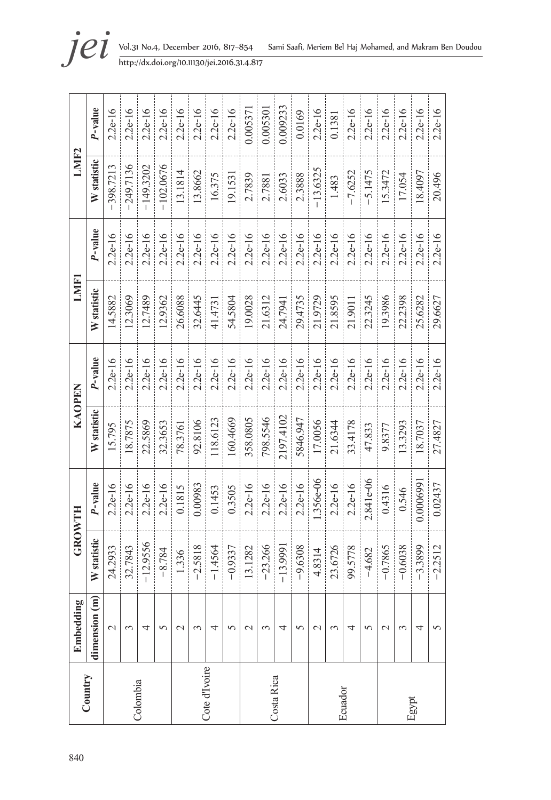| 840           | Embedding        | GROWTH      |           | KAOPEN      |           | <b>LMF1</b> |            | LMIF <sub>2</sub> |           |
|---------------|------------------|-------------|-----------|-------------|-----------|-------------|------------|-------------------|-----------|
| Country       | dimension (m)    | W statistic | P-value   | W statistic | P-value   | W statistic | $P$ -value | W statistic       | P-value   |
|               | $\mathcal{L}$    | 24.2933     | $2.2e-16$ | 15.795      | $2.2e-16$ | 14.5882     | $2.2e-16$  | $-398.7213$       | $2.2e-16$ |
|               | 3                | 32.7843     | $2.2e-16$ | 18.7875     | $2.2e-16$ | 12.3069     | $2.2e-16$  | $-249.7136$       | $2.2e-16$ |
| Colombia      | 4                | $-12.9556$  | $2.2e-16$ | 22.5869     | $2.2e-16$ | 12.7489     | $2.2e-16$  | $-149.3202$       | $2.2e-16$ |
|               | $\Omega$         | $-8.784$    | $2.2e-16$ | 32.3653     | $2.2e-16$ | 12.9362     | $2.2e-16$  | $-102.0676$       | $2.2e-16$ |
|               | $\mathrel{\sim}$ | 1.336       | 0.1815    | 78.3761     | $2.2e-16$ | 26.6088     | $2.2e-16$  | 13.1814           | $2.2e-16$ |
|               | $\sim$           | $-2.5818$   | 0.00983   | 92.8106     | $2.2e-16$ | 32.6445     | $2.2e-16$  | 13.8662           | $2.2e-16$ |
| Cote d'Ivoire | 4                | $-1.4564$   | 0.1453    | 118,6123    | $2.2e-16$ | 41.4731     | $2.2e-16$  | 16.375            | $2.2e-16$ |
|               | $\sqrt{2}$       | $-0.9337$   | 0.3505    | 160.4669    | $2.2e-16$ | 54.5804     | $2.2e-16$  | 19.1531           | $2.2e-16$ |
|               | $\mathcal{C}$    | 13.1282     | $2.2e-16$ | 358.0805    | $2.2e-16$ | 19.0028     | $2.2e-16$  | 2.7839            | 0.005371  |
|               | 3                | $-23.266$   | $2.2e-16$ | 798.5546    | $2.2e-16$ | 21.6312     | $2.2e-16$  | 2.7881            | 0.005301  |
| Costa Rica    | 4                | $-13.9991$  | $2.2e-16$ | 2197.4102   | $2.2e-16$ | 24.7941     | $2.2e-16$  | 2.6033            | 0.009233  |
|               | 5                | $-9.6308$   | $2.2e-16$ | 5846.947    | $2.2e-16$ | 29.4735     | $2.2e-16$  | 2.3888            | 0.0169    |
|               | $\mathbf 2$      | 4.8314      | l.356e-06 | 17.0056     | $2.2e-16$ | 21.9729     | $2.2e-16$  | $-13.6325$        | $2.2e-16$ |
| Ecuador       | ξ                | 23.6726     | $2.2e-16$ | 21.6344     | $2.2e-16$ | 21.8595     | $2.2e-16$  | 1.483             | 0.1381    |
|               | 4                | 99.5778     | $2.2e-16$ | 33.4178     | $2.2e-16$ | 21.9011     | $2.2e-16$  | $-7.6252$         | $2.2e-16$ |
|               | 5                | $-4.682$    | 2.841e-06 | 47.833      | $2.2e-16$ | 22.3245     | $2.2e-16$  | $-5.1475$         | $2.2e-16$ |
|               | $\mathbf 2$      | $-0.7865$   | 0.4316    | 9.8377      | $2.2e-16$ | 19.3986     | $2.2e-16$  | 15.3472           | $2.2e-16$ |
|               | ξ                | $-0.6038$   | 0.546     | 13.3293     | $2.2e-16$ | 22.2398     | $2.2e-16$  | 17.054            | $2.2e-16$ |
| Egypt         | 4                | $-3.3899$   | 0.0006991 | 18.7037     | $2.2e-16$ | 25.6282     | $2.2e-16$  | 18.4097           | $2.2e-16$ |
|               | 5                | $-2.2512$   | 0.02437   | 27.4827     | $2.2e-16$ | 29.6627     | $2.2e-16$  | 20.496            | $2.2e-16$ |

**jei** Vol.31 No.4, December 2016, 817–854 Sami Saafi, Meriem Bel Haj Mohamed, and Makram Ben Doudou<br>http://dx.doi.org/10.11130/jei.2016.31.4.817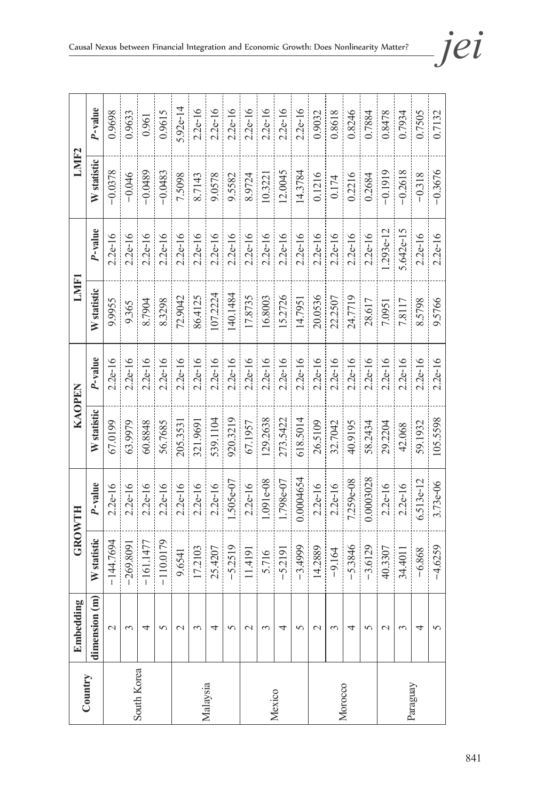|             | Embedding       | GROWTH      |             | KAOPEN      |           | LMF1        |             | LMIF2       |            |
|-------------|-----------------|-------------|-------------|-------------|-----------|-------------|-------------|-------------|------------|
| Country     | dimension (m)   | W statistic | P-value     | W statistic | P-value   | W statistic | P-value     | W statistic | P-value    |
|             | $\mathcal{L}$   | $-144.7694$ | $2.2e-16$   | 67.0199     | $2.2e-16$ | 9.9955      | $2.2e-16$   | $-0.0378$   | 0.9698     |
|             | 3               | $-269.8091$ | $2.2e-16$   | 63.9979     | $2.2e-16$ | 9.365       | $2.2e-16$   | $-0.046$    | 0.9633     |
| South Korea | 4               | $-161.1477$ | $2.2e-16$   | 60.8848     | $2.2e-16$ | 8.7904      | $2.2e-16$   | $-0.0489$   | 0.961      |
|             | $\Omega$        | $-110.0179$ | $2.2e-16$   | 56.7685     | $2.2e-16$ | 8.3298      | $2.2e-16$   | $-0.0483$   | 0.9615     |
|             | $\mathcal{L}$   | 9.6541      | $2.2e-16$   | 205.3531    | $2.2e-16$ | 72.9042     | $2.2e-16$   | 7.5098      | $5.92e-14$ |
|             | $\mathfrak{g}$  | 17.2103     | $2.2e-16$   | 321.9691    | $2.2e-16$ | 86.4125     | $2.2e-16$   | 8.7143      | $2.2e-16$  |
| Malaysia    | 4               | 25.4207     | $2.2e-16$   | 539.1104    | $2.2e-16$ | 107.2224    | $2.2e-16$   | 9.0578      | $2.2e-16$  |
|             | $\Omega$        | $-5.2519$   | $.505e-07$  | 920.3219    | $2.2e-16$ | 40.1484     | $2.2e-16$   | 9.5582      | $2.2e-16$  |
|             | $\mathbf 2$     | 11.4191     | $2.2e-16$   | 67.1957     | $2.2e-16$ | 17.8735     | $2.2e-16$   | 8.9724      | $2.2e-16$  |
|             | 3               | 5.716       | $1.091e-08$ | 129.2638    | $2.2e-16$ | 16.8003     | $2.2e-16$   | 10.3221     | $2.2e-16$  |
| Mexico      | 4               | $-5.2191$   | 1.798e-07   | 273.5422    | $2.2e-16$ | 15.2726     | $2.2e-16$   | 12.0045     | $2.2e-16$  |
|             | 5               | $-3.4999$   | 0.0004654   | 618.5014    | $2.2e-16$ | 14.7951     | $2.2e-16$   | 14.3784     | $2.2e-16$  |
|             | $\mathcal{L}$   | 14.2889     | $2.2e-16$   | 26.5109     | $2.2e-16$ | 20.0536     | $2.2e-16$   | 0.1216      | 0.9032     |
|             | 3               | $-9.164$    | $2.2e-16$   | 32.7042     | $2.2e-16$ | 22.2507     | $2.2e-16$   | 0.174       | 0.8618     |
| Morocco     | 4               | $-5.3846$   | $7.259e-08$ | 40.9195     | $2.2e-16$ | 24.7719     | $2.2e-16$   | 0.2216      | 0.8246     |
|             | $\sigma$        | $-3.6129$   | 0.0003028   | 58.2434     | $2.2e-16$ | 28.617      | $2.2e-16$   | 0.2684      | 0.7884     |
|             | $\mathbf{\sim}$ | 40.3307     | $2.2e-16$   | 29.2204     | $2.2e-16$ | 7.0951      | $1.293e-12$ | $-0.1919$   | 0.8478     |
|             | $\mathfrak{g}$  | 34.4011     | $2.2e-16$   | 42.068      | $2.2e-16$ | 7.8117      | 5.642e-15   | $-0.2618$   | 0.7934     |
| Paraguay    | 4               | $-6.868$    | 6.513e-12   | 59.1932     | $2.2e-16$ | 8.5798      | $2.2e-16$   | $-0.318$    | 0.7505     |
|             | $\sim$          | $-4.6259$   | $3.73 - 06$ | 105.5598    | $2.2e-16$ | 9.5766      | $2.2e-16$   | $-0.3676$   | 0.7132     |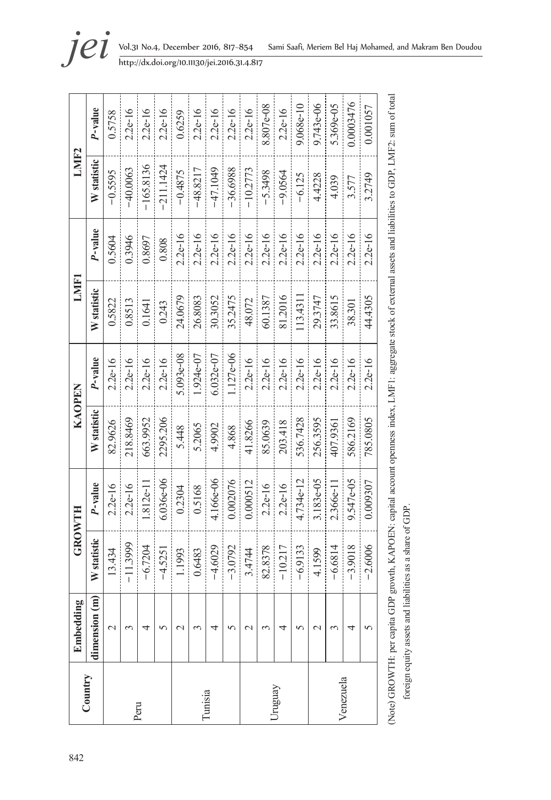|           | Embedding     | GROWTH      |             | KAOPEN      |             | LMF1        |           | LMIF2       |              |
|-----------|---------------|-------------|-------------|-------------|-------------|-------------|-----------|-------------|--------------|
| Country   | dimension (m) | W statistic | P-value     | W statistic | P-value     | W statistic | P-value   | W statistic | P-value      |
|           | 2             | 13.434      | $2.2e-16$   | 82.9626     | $2.2e-16$   | 0.5822      | 0.5604    | $-0.5595$   | 0.5758       |
| Peru      | 3             | $-11.3999$  | $2.2e-16$   | 218.8469    | $2.2e-16$   | 0.8513      | 0.3946    | $-40.0063$  | $2.2e-16$    |
|           | 4             | $-6.7204$   | $.812e-11$  | 663.9952    | $2.2e-16$   | 0.1641      | 0.8697    | $-165.8136$ | $2.2e-16$    |
|           | 5             | $-4.5251$   | $6.036e-06$ | 2295.206    | $2.2e-16$   | 0.243       | 0.808     | $-211.1424$ | $2.2e-16$    |
|           | $\mathbf 2$   | 1.1993      | 0.2304      | 5.448       | $5.093e-08$ | 24.0679     | $2.2e-16$ | $-0.4875$   | 0.6259       |
|           | 3             | 0.6483      | 0.5168      | 5.2065      | 1.924e-07   | 26.8083     | $2.2e-16$ | $-48.8217$  | $2.2e-16$    |
| Tunisia   | 4             | $-4.6029$   | 4.166e-06   | 4.9902      | $6.032e-07$ | 30.3052     | $2.2e-16$ | -47.1049    | $2.2e-16$    |
|           | 5             | $-3.0792$   | 0.002076    | 4.868       | $1.127e-06$ | 35.2475     | $2.2e-16$ | $-36.6988$  | $2.2e-16$    |
|           | $\mathcal{C}$ | 3.4744      | 0.000512    | 41.8266     | $2.2e-16$   | 48.072      | $2.2e-16$ | $-10.2773$  | $2.2e-16$    |
|           | 3             | 82.8378     | $2.2e-16$   | 85.0639     | $2.2e-16$   | 60.1387     | $2.2e-16$ | $-5.3498$   | $8.807e-08$  |
| Jruguay   | 4             | $-10.217$   | $2.2e-16$   | 203.418     | $2.2e-16$   | 81.2016     | $2.2e-16$ | $-9.0564$   | $2.2e-16$    |
|           | 5             | $-6.9133$   | 4.734e-12   | 536.7428    | $2.2e-16$   | 113.4311    | $2.2e-16$ | $-6.125$    | $9.068e-10$  |
|           | $\mathcal{L}$ | 4.1599      | 3.183e-05   | 256.3595    | $2.2e-16$   | 29.3747     | $2.2e-16$ | 4.4228      | $9.743 - 06$ |
|           | 3             | $-6.6814$   | 2.366e-11   | 407.9361    | $2.2e-16$   | 33.8615     | $2.2e-16$ | 4.039       | 5.369e-05    |
| Venezuela | 4             | $-3.9018$   | 9.547e-05   | 586.2169    | $2.2e-16$   | 38.301      | $2.2e-16$ | 3.577       | 0.0003476    |
|           | $\sqrt{2}$    | $-2.6006$   | 0.009307    | 785.0805    | $2.2e-16$   | 44.4305     | $2.2e-16$ | 3.2749      | 0.001057     |



**jei** Vol.31 No.4, December 2016, 817–854 Sami Saafi, Meriem Bel Haj Mohamed, and Makram Ben Doudou<br>http://dx.doi.org/10.11130/jei.2016.31.4.817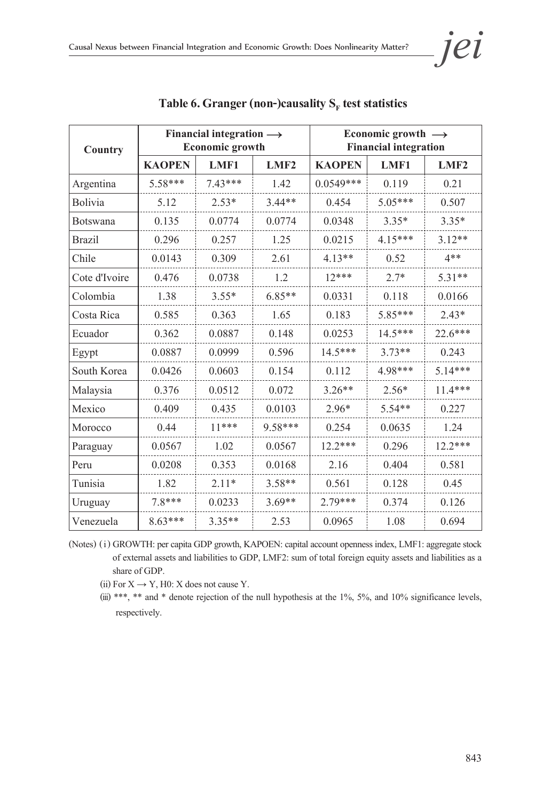| <b>Country</b>  | Financial integration $\longrightarrow$<br><b>Economic growth</b> |           |                  | Economic growth $\rightarrow$<br><b>Financial integration</b> |           |           |
|-----------------|-------------------------------------------------------------------|-----------|------------------|---------------------------------------------------------------|-----------|-----------|
|                 | <b>KAOPEN</b>                                                     | LMF1      | LMF <sub>2</sub> | <b>KAOPEN</b>                                                 | LMF1      | LMF2      |
| Argentina       | $5.58***$                                                         | $7.43***$ | 1.42             | $0.0549***$                                                   | 0.119     | 0.21      |
| Bolivia         | 5.12                                                              | $2.53*$   | $3.44**$         | 0.454                                                         | 5.05***   | 0.507     |
| <b>Botswana</b> | 0.135                                                             | 0.0774    | 0.0774           | 0.0348                                                        | $3.35*$   | $3.35*$   |
| <b>Brazil</b>   | 0.296                                                             | 0.257     | 1.25             | 0.0215                                                        | $4.15***$ | $3.12**$  |
| Chile           | 0.0143                                                            | 0.309     | 2.61             | $4.13**$                                                      | 0.52      | $4**$     |
| Cote d'Ivoire   | 0.476                                                             | 0.0738    | 1.2              | $12***$                                                       | $2.7*$    | $5.31**$  |
| Colombia        | 1.38                                                              | $3.55*$   | $6.85**$         | 0.0331                                                        | 0.118     | 0.0166    |
| Costa Rica      | 0.585                                                             | 0.363     | 1.65             | 0.183                                                         | 5.85***   | $2.43*$   |
| Ecuador         | 0.362                                                             | 0.0887    | 0.148            | 0.0253                                                        | $14.5***$ | 22.6***   |
| Egypt           | 0.0887                                                            | 0.0999    | 0.596            | 14.5***                                                       | $3.73**$  | 0.243     |
| South Korea     | 0.0426                                                            | 0.0603    | 0.154            | 0.112                                                         | 4.98***   | $5.14***$ |
| Malaysia        | 0.376                                                             | 0.0512    | 0.072            | $3.26**$                                                      | $2.56*$   | $11.4***$ |
| Mexico          | 0.409                                                             | 0.435     | 0.0103           | $2.96*$                                                       | $5.54**$  | 0.227     |
| Morocco         | 0.44                                                              | $11***$   | $9.58***$        | 0.254                                                         | 0.0635    | 1.24      |
| Paraguay        | 0.0567                                                            | 1.02      | 0.0567           | $12.2***$                                                     | 0.296     | $12.2***$ |
| Peru            | 0.0208                                                            | 0.353     | 0.0168           | 2.16                                                          | 0.404     | 0.581     |
| Tunisia         | 1.82                                                              | $2.11*$   | $3.58**$         | 0.561                                                         | 0.128     | 0.45      |
| Uruguay         | 7.8***                                                            | 0.0233    | $3.69**$         | $2.79***$                                                     | 0.374     | 0.126     |
| Venezuela       | $8.63***$                                                         | $3.35**$  | 2.53             | 0.0965                                                        | 1.08      | 0.694     |

Table 6. Granger (non-)causality S<sub>F</sub> test statistics

(Notes) (i) GROWTH: per capita GDP growth, KAPOEN: capital account openness index, LMF1: aggregate stock of external assets and liabilities to GDP, LMF2: sum of total foreign equity assets and liabilities as a share of GDP.

(ii) For  $X \rightarrow Y$ , H0: X does not cause Y.

(iii) \*\*\*, \*\* and \* denote rejection of the null hypothesis at the 1%, 5%, and 10% significance levels, respectively.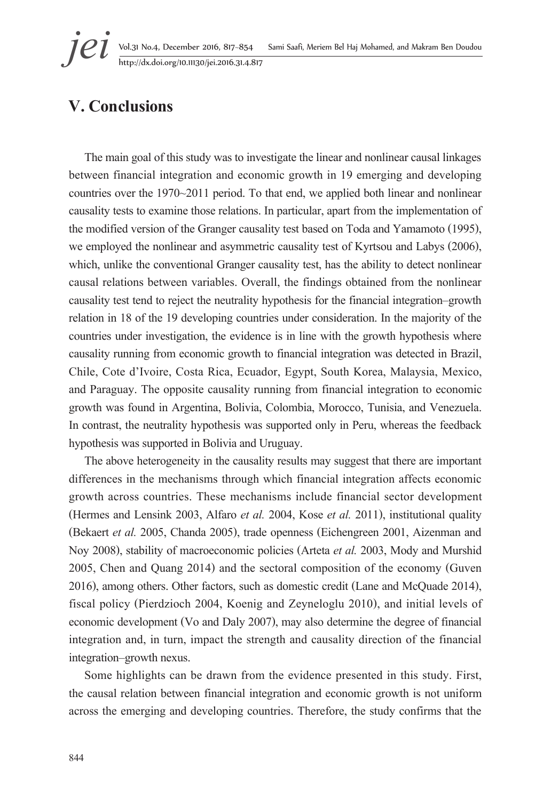## **V. Conclusions**

The main goal of this study was to investigate the linear and nonlinear causal linkages between financial integration and economic growth in 19 emerging and developing countries over the 1970~2011 period. To that end, we applied both linear and nonlinear causality tests to examine those relations. In particular, apart from the implementation of the modified version of the Granger causality test based on Toda and Yamamoto (1995), we employed the nonlinear and asymmetric causality test of Kyrtsou and Labys (2006), which, unlike the conventional Granger causality test, has the ability to detect nonlinear causal relations between variables. Overall, the findings obtained from the nonlinear causality test tend to reject the neutrality hypothesis for the financial integration–growth relation in 18 of the 19 developing countries under consideration. In the majority of the countries under investigation, the evidence is in line with the growth hypothesis where causality running from economic growth to financial integration was detected in Brazil, Chile, Cote d'Ivoire, Costa Rica, Ecuador, Egypt, South Korea, Malaysia, Mexico, and Paraguay. The opposite causality running from financial integration to economic growth was found in Argentina, Bolivia, Colombia, Morocco, Tunisia, and Venezuela. In contrast, the neutrality hypothesis was supported only in Peru, whereas the feedback hypothesis was supported in Bolivia and Uruguay.

The above heterogeneity in the causality results may suggest that there are important differences in the mechanisms through which financial integration affects economic growth across countries. These mechanisms include financial sector development (Hermes and Lensink 2003, Alfaro *et al.* 2004, Kose *et al.* 2011), institutional quality (Bekaert *et al.* 2005, Chanda 2005), trade openness (Eichengreen 2001, Aizenman and Noy 2008), stability of macroeconomic policies (Arteta *et al.* 2003, Mody and Murshid 2005, Chen and Quang 2014) and the sectoral composition of the economy (Guven 2016), among others. Other factors, such as domestic credit (Lane and McQuade 2014), fiscal policy (Pierdzioch 2004, Koenig and Zeyneloglu 2010), and initial levels of economic development (Vo and Daly 2007), may also determine the degree of financial integration and, in turn, impact the strength and causality direction of the financial integration–growth nexus.

Some highlights can be drawn from the evidence presented in this study. First, the causal relation between financial integration and economic growth is not uniform across the emerging and developing countries. Therefore, the study confirms that the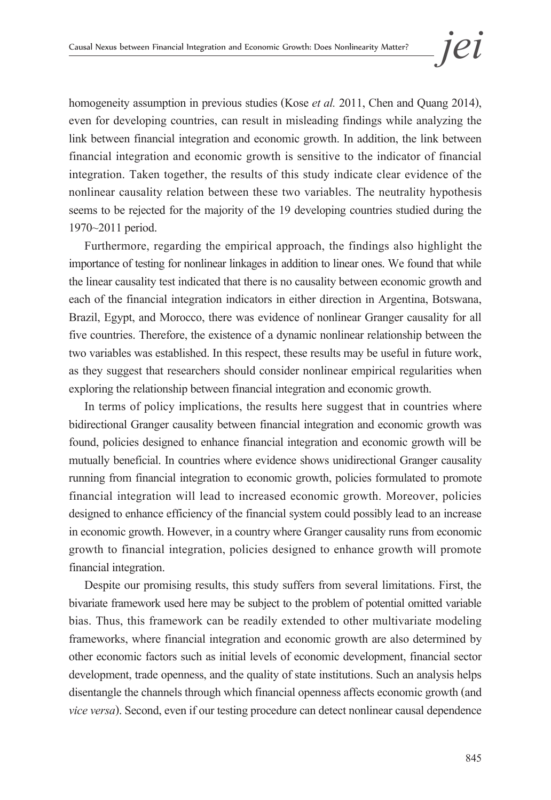homogeneity assumption in previous studies (Kose *et al.* 2011, Chen and Quang 2014), even for developing countries, can result in misleading findings while analyzing the link between financial integration and economic growth. In addition, the link between financial integration and economic growth is sensitive to the indicator of financial integration. Taken together, the results of this study indicate clear evidence of the nonlinear causality relation between these two variables. The neutrality hypothesis seems to be rejected for the majority of the 19 developing countries studied during the 1970~2011 period.

Furthermore, regarding the empirical approach, the findings also highlight the importance of testing for nonlinear linkages in addition to linear ones. We found that while the linear causality test indicated that there is no causality between economic growth and each of the financial integration indicators in either direction in Argentina, Botswana, Brazil, Egypt, and Morocco, there was evidence of nonlinear Granger causality for all five countries. Therefore, the existence of a dynamic nonlinear relationship between the two variables was established. In this respect, these results may be useful in future work, as they suggest that researchers should consider nonlinear empirical regularities when exploring the relationship between financial integration and economic growth.

In terms of policy implications, the results here suggest that in countries where bidirectional Granger causality between financial integration and economic growth was found, policies designed to enhance financial integration and economic growth will be mutually beneficial. In countries where evidence shows unidirectional Granger causality running from financial integration to economic growth, policies formulated to promote financial integration will lead to increased economic growth. Moreover, policies designed to enhance efficiency of the financial system could possibly lead to an increase in economic growth. However, in a country where Granger causality runs from economic growth to financial integration, policies designed to enhance growth will promote financial integration.

Despite our promising results, this study suffers from several limitations. First, the bivariate framework used here may be subject to the problem of potential omitted variable bias. Thus, this framework can be readily extended to other multivariate modeling frameworks, where financial integration and economic growth are also determined by other economic factors such as initial levels of economic development, financial sector development, trade openness, and the quality of state institutions. Such an analysis helps disentangle the channels through which financial openness affects economic growth (and *vice versa*). Second, even if our testing procedure can detect nonlinear causal dependence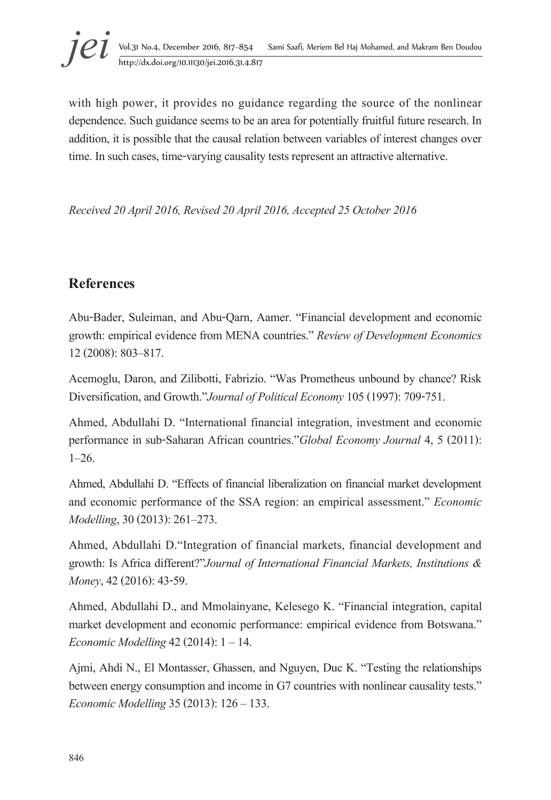

with high power, it provides no guidance regarding the source of the nonlinear dependence. Such guidance seems to be an area for potentially fruitful future research. In addition, it is possible that the causal relation between variables of interest changes over time. In such cases, time-varying causality tests represent an attractive alternative.

*Received 20 April 2016, Revised 20 April 2016, Accepted 25 October 2016*

## **References**

Abu-Bader, Suleiman, and Abu-Qarn, Aamer. "Financial development and economic growth: empirical evidence from MENA countries." *Review of Development Economics* 12 (2008): 803–817.

Acemoglu, Daron, and Zilibotti, Fabrizio. "Was Prometheus unbound by chance? Risk Diversification, and Growth."*Journal of Political Economy* 105 (1997): 709-751.

Ahmed, Abdullahi D. "International financial integration, investment and economic performance in sub-Saharan African countries."*Global Economy Journal* 4, 5 (2011): 1–26.

Ahmed, Abdullahi D. "Effects of financial liberalization on financial market development and economic performance of the SSA region: an empirical assessment." *Economic Modelling*, 30 (2013): 261–273.

Ahmed, Abdullahi D."Integration of financial markets, financial development and growth: Is Africa different?"*Journal of International Financial Markets, Institutions & Money*, 42 (2016): 43-59.

Ahmed, Abdullahi D., and Mmolainyane, Kelesego K. "Financial integration, capital market development and economic performance: empirical evidence from Botswana." *Economic Modelling* 42 (2014): 1 – 14.

Ajmi, Ahdi N., El Montasser, Ghassen, and Nguyen, Duc K. "Testing the relationships between energy consumption and income in G7 countries with nonlinear causality tests." *Economic Modelling* 35 (2013): 126 – 133.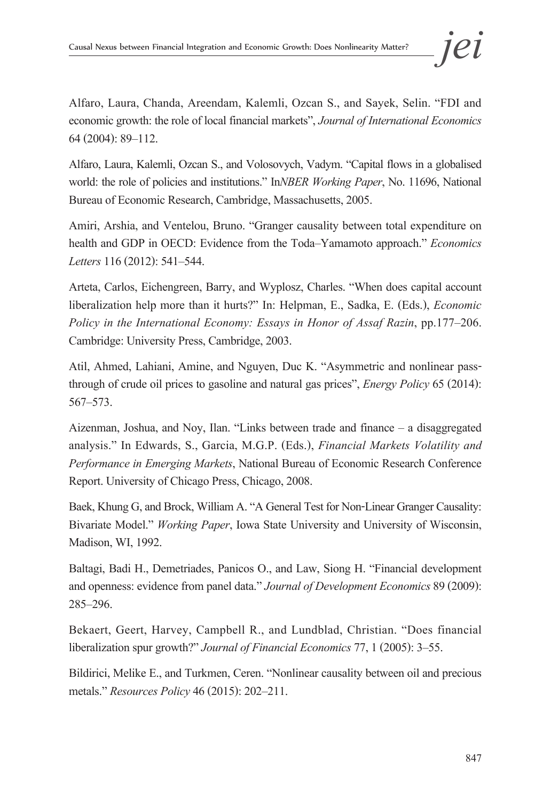Alfaro, Laura, Chanda, Areendam, Kalemli, Ozcan S., and Sayek, Selin. "FDI and economic growth: the role of local financial markets", *Journal of International Economics*  64 (2004): 89–112.

Alfaro, Laura, Kalemli, Ozcan S., and Volosovych, Vadym. "Capital flows in a globalised world: the role of policies and institutions." In*NBER Working Paper*, No. 11696, National Bureau of Economic Research, Cambridge, Massachusetts, 2005.

Amiri, Arshia, and Ventelou, Bruno. "Granger causality between total expenditure on health and GDP in OECD: Evidence from the Toda–Yamamoto approach." *Economics Letters* 116 (2012): 541–544.

Arteta, Carlos, Eichengreen, Barry, and Wyplosz, Charles. "When does capital account liberalization help more than it hurts?" In: Helpman, E., Sadka, E. (Eds.), *Economic Policy in the International Economy: Essays in Honor of Assaf Razin*, pp.177–206. Cambridge: University Press, Cambridge, 2003.

Atil, Ahmed, Lahiani, Amine, and Nguyen, Duc K. "Asymmetric and nonlinear passthrough of crude oil prices to gasoline and natural gas prices", *Energy Policy* 65 (2014): 567–573.

Aizenman, Joshua, and Noy, Ilan. "Links between trade and finance – a disaggregated analysis." In Edwards, S., Garcia, M.G.P. (Eds.), *Financial Markets Volatility and Performance in Emerging Markets*, National Bureau of Economic Research Conference Report. University of Chicago Press, Chicago, 2008.

Baek, Khung G, and Brock, William A. "A General Test for Non-Linear Granger Causality: Bivariate Model." *Working Paper*, Iowa State University and University of Wisconsin, Madison, WI, 1992.

Baltagi, Badi H., Demetriades, Panicos O., and Law, Siong H. "Financial development and openness: evidence from panel data." *Journal of Development Economics* 89 (2009): 285–296.

Bekaert, Geert, Harvey, Campbell R., and Lundblad, Christian. "Does financial liberalization spur growth?" *Journal of Financial Economics* 77, 1 (2005): 3–55.

Bildirici, Melike E., and Turkmen, Ceren. "Nonlinear causality between oil and precious metals." *Resources Policy* 46 (2015): 202–211.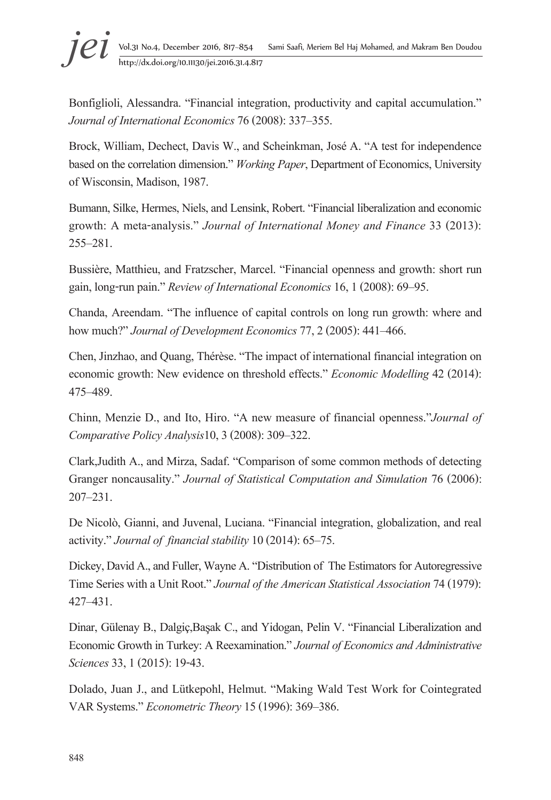# <sup>j</sup>eiii Vol.31 No.4, December 2016, 817–854 Sami Saafi, Meriem Bel Haj Mohamed, and Makram Ben Doudou http://dx.doi.org/10.11130/jei.2016.31.4.817 http://dx.doi.org/10.11130/jei.2016.31.4.817

Bonfiglioli, Alessandra. "Financial integration, productivity and capital accumulation." *Journal of International Economics* 76 (2008): 337–355.

Brock, William, Dechect, Davis W., and Scheinkman, José A. "A test for independence based on the correlation dimension." *Working Paper*, Department of Economics, University of Wisconsin, Madison, 1987.

Bumann, Silke, Hermes, Niels, and Lensink, Robert. "Financial liberalization and economic growth: A meta-analysis." *Journal of International Money and Finance* 33 (2013): 255–281.

Bussière, Matthieu, and Fratzscher, Marcel. "Financial openness and growth: short run gain, long-run pain." *Review of International Economics* 16, 1 (2008): 69–95.

Chanda, Areendam. "The influence of capital controls on long run growth: where and how much?" *Journal of Development Economics* 77, 2 (2005): 441–466.

Chen, Jinzhao, and Quang, Thérèse. "The impact of international financial integration on economic growth: New evidence on threshold effects." *Economic Modelling* 42 (2014): 475–489.

Chinn, Menzie D., and Ito, Hiro. "A new measure of financial openness."*Journal of Comparative Policy Analysis*10, 3 (2008): 309–322.

Clark,Judith A., and Mirza, Sadaf. "Comparison of some common methods of detecting Granger noncausality." *Journal of Statistical Computation and Simulation* 76 (2006): 207–231.

De Nicolò, Gianni, and Juvenal, Luciana. "Financial integration, globalization, and real activity." *Journal of financial stability* 10 (2014): 65–75.

Dickey, David A., and Fuller, Wayne A. "Distribution of The Estimators for Autoregressive Time Series with a Unit Root." *Journal of the American Statistical Association* 74 (1979): 427–431.

Dinar, Gülenay B., Dalgiç,Başak C., and Yidogan, Pelin V. "Financial Liberalization and Economic Growth in Turkey: A Reexamination." *Journal of Economics and Administrative Sciences* 33, 1 (2015): 19-43.

Dolado, Juan J., and Lütkepohl, Helmut. "Making Wald Test Work for Cointegrated VAR Systems." *Econometric Theory* 15 (1996): 369–386.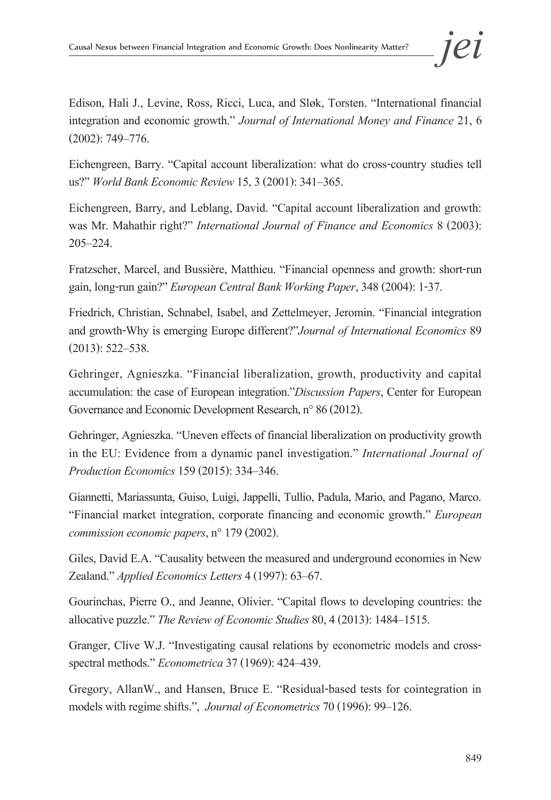Edison, Hali J., Levine, Ross, Ricci, Luca, and Sløk, Torsten. "International financial integration and economic growth." *Journal of International Money and Finance* 21, 6 (2002): 749–776.

Eichengreen, Barry. "Capital account liberalization: what do cross-country studies tell us?" *World Bank Economic Review* 15, 3 (2001): 341–365.

Eichengreen, Barry, and Leblang, David. "Capital account liberalization and growth: was Mr. Mahathir right?" *International Journal of Finance and Economics* 8 (2003): 205–224.

Fratzscher, Marcel, and Bussière, Matthieu. "Financial openness and growth: short-run gain, long-run gain?" *European Central Bank Working Paper*, 348 (2004): 1-37.

Friedrich, Christian, Schnabel, Isabel, and Zettelmeyer, Jeromin. "Financial integration and growth-Why is emerging Europe different?"*Journal of International Economics* 89 (2013): 522–538.

Gehringer, Agnieszka. "Financial liberalization, growth, productivity and capital accumulation: the case of European integration."*Discussion Papers*, Center for European Governance and Economic Development Research, n° 86 (2012).

Gehringer, Agnieszka. "Uneven effects of financial liberalization on productivity growth in the EU: Evidence from a dynamic panel investigation." *International Journal of Production Economics* 159 (2015): 334–346.

Giannetti, Mariassunta, Guiso, Luigi, Jappelli, Tullio, Padula, Mario, and Pagano, Marco. "Financial market integration, corporate financing and economic growth." *European commission economic papers*, n° 179 (2002).

Giles, David E.A. "Causality between the measured and underground economies in New Zealand." *Applied Economics Letters* 4 (1997): 63–67.

Gourinchas, Pierre O., and Jeanne, Olivier. "Capital flows to developing countries: the allocative puzzle." *The Review of Economic Studies* 80, 4 (2013): 1484–1515.

Granger, Clive W.J. "Investigating causal relations by econometric models and crossspectral methods." *Econometrica* 37 (1969): 424–439.

Gregory, AllanW., and Hansen, Bruce E. "Residual-based tests for cointegration in models with regime shifts.", *Journal of Econometrics* 70 (1996): 99–126.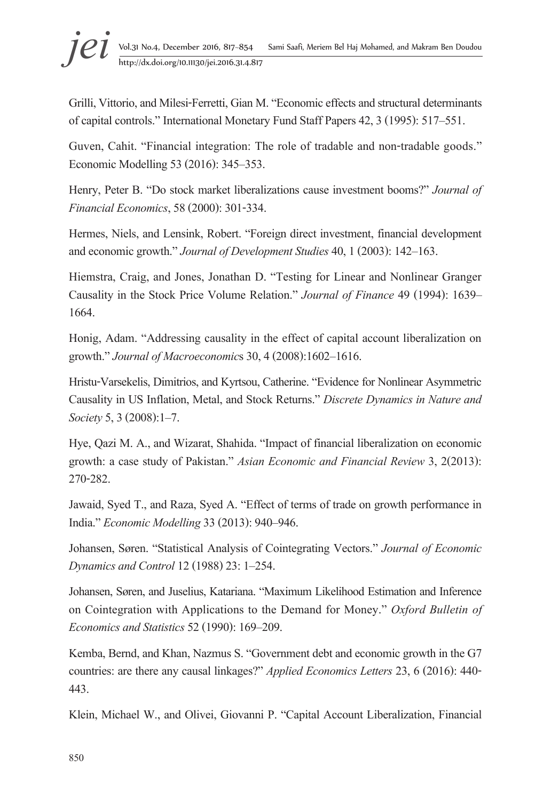# <sup>j</sup>eiii Vol.31 No.4, December 2016, 817–854 Sami Saafi, Meriem Bel Haj Mohamed, and Makram Ben Doudou http://dx.doi.org/10.11130/jei.2016.31.4.817 http://dx.doi.org/10.11130/jei.2016.31.4.817

Grilli, Vittorio, and Milesi-Ferretti, Gian M. "Economic effects and structural determinants of capital controls." International Monetary Fund Staff Papers 42, 3 (1995): 517–551.

Guven, Cahit. "Financial integration: The role of tradable and non-tradable goods." Economic Modelling 53 (2016): 345–353.

Henry, Peter B. "Do stock market liberalizations cause investment booms?" *Journal of Financial Economics*, 58 (2000): 301-334.

Hermes, Niels, and Lensink, Robert. "Foreign direct investment, financial development and economic growth." *Journal of Development Studies* 40, 1 (2003): 142–163.

Hiemstra, Craig, and Jones, Jonathan D. "Testing for Linear and Nonlinear Granger Causality in the Stock Price Volume Relation." *Journal of Finance* 49 (1994): 1639– 1664.

Honig, Adam. "Addressing causality in the effect of capital account liberalization on growth." *Journal of Macroeconomic*s 30, 4 (2008):1602–1616.

Hristu-Varsekelis, Dimitrios, and Kyrtsou, Catherine. "Evidence for Nonlinear Asymmetric Causality in US Inflation, Metal, and Stock Returns." *Discrete Dynamics in Nature and Society* 5, 3 (2008):1–7.

Hye, Qazi M. A., and Wizarat, Shahida. "Impact of financial liberalization on economic growth: a case study of Pakistan." *Asian Economic and Financial Review* 3, 2(2013): 270-282.

Jawaid, Syed T., and Raza, Syed A. "Effect of terms of trade on growth performance in India." *Economic Modelling* 33 (2013): 940–946.

Johansen, Søren. "Statistical Analysis of Cointegrating Vectors." *Journal of Economic Dynamics and Control* 12 (1988) 23: 1–254.

Johansen, Søren, and Juselius, Katariana. "Maximum Likelihood Estimation and Inference on Cointegration with Applications to the Demand for Money." *Oxford Bulletin of Economics and Statistics* 52 (1990): 169–209.

Kemba, Bernd, and Khan, Nazmus S. "Government debt and economic growth in the G7 countries: are there any causal linkages?" *Applied Economics Letters* 23, 6 (2016): 440- 443.

Klein, Michael W., and Olivei, Giovanni P. "Capital Account Liberalization, Financial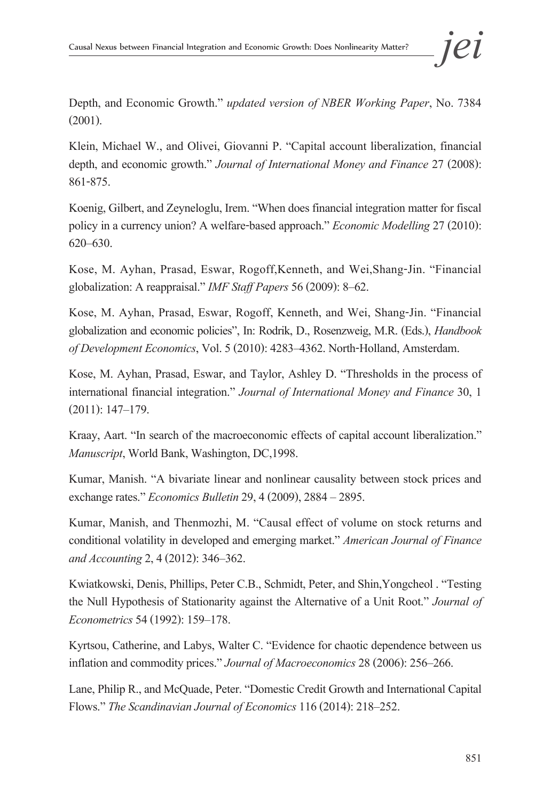Depth, and Economic Growth." *updated version of NBER Working Paper*, No. 7384 (2001).

Klein, Michael W., and Olivei, Giovanni P. "Capital account liberalization, financial depth, and economic growth." *Journal of International Money and Finance* 27 (2008): 861-875.

Koenig, Gilbert, and Zeyneloglu, Irem. "When does financial integration matter for fiscal policy in a currency union? A welfare-based approach." *Economic Modelling* 27 (2010): 620–630.

Kose, M. Ayhan, Prasad, Eswar, Rogoff,Kenneth, and Wei,Shang-Jin. "Financial globalization: A reappraisal." *IMF Staff Papers* 56 (2009): 8–62.

Kose, M. Ayhan, Prasad, Eswar, Rogoff, Kenneth, and Wei, Shang-Jin. "Financial globalization and economic policies", In: Rodrik, D., Rosenzweig, M.R. (Eds.), *Handbook of Development Economics*, Vol. 5 (2010): 4283–4362. North-Holland, Amsterdam.

Kose, M. Ayhan, Prasad, Eswar, and Taylor, Ashley D. "Thresholds in the process of international financial integration." *Journal of International Money and Finance* 30, 1 (2011): 147–179.

Kraay, Aart. "In search of the macroeconomic effects of capital account liberalization." *Manuscript*, World Bank, Washington, DC,1998.

Kumar, Manish. "A bivariate linear and nonlinear causality between stock prices and exchange rates." *Economics Bulletin* 29, 4 (2009), 2884 – 2895.

Kumar, Manish, and Thenmozhi, M. "Causal effect of volume on stock returns and conditional volatility in developed and emerging market." *American Journal of Finance and Accounting* 2, 4 (2012): 346–362.

Kwiatkowski, Denis, Phillips, Peter C.B., Schmidt, Peter, and Shin,Yongcheol . "Testing the Null Hypothesis of Stationarity against the Alternative of a Unit Root." *Journal of Econometrics* 54 (1992): 159–178.

Kyrtsou, Catherine, and Labys, Walter C. "Evidence for chaotic dependence between us inflation and commodity prices." *Journal of Macroeconomics* 28 (2006): 256–266.

Lane, Philip R., and McQuade, Peter. "Domestic Credit Growth and International Capital Flows." *The Scandinavian Journal of Economics* 116 (2014): 218–252.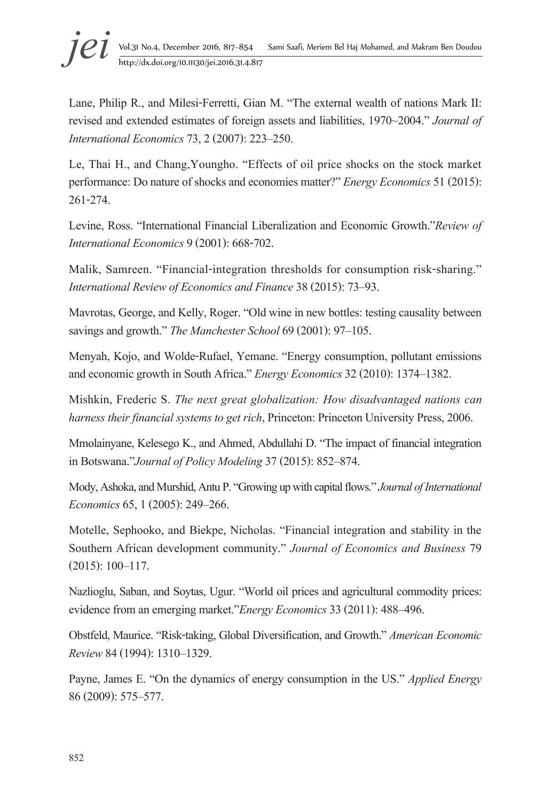# <sup>j</sup>eiii Vol.31 No.4, December 2016, 817–854 Sami Saafi, Meriem Bel Haj Mohamed, and Makram Ben Doudou http://dx.doi.org/10.11130/jei.2016.31.4.817 http://dx.doi.org/10.11130/jei.2016.31.4.817

Lane, Philip R., and Milesi-Ferretti, Gian M. "The external wealth of nations Mark II: revised and extended estimates of foreign assets and liabilities, 1970~2004." *Journal of International Economics* 73, 2 (2007): 223–250.

Le, Thai H., and Chang,Youngho. "Effects of oil price shocks on the stock market performance: Do nature of shocks and economies matter?" *Energy Economics* 51 (2015): 261-274.

Levine, Ross. "International Financial Liberalization and Economic Growth."*Review of International Economics* 9 (2001): 668-702.

Malik, Samreen. "Financial-integration thresholds for consumption risk-sharing." *International Review of Economics and Finance* 38 (2015): 73–93.

Mavrotas, George, and Kelly, Roger. "Old wine in new bottles: testing causality between savings and growth." *The Manchester School* 69 (2001): 97–105.

Menyah, Kojo, and Wolde-Rufael, Yemane. "Energy consumption, pollutant emissions and economic growth in South Africa." *Energy Economics* 32 (2010): 1374–1382.

Mishkin, Frederic S. *The next great globalization: How disadvantaged nations can harness their financial systems to get rich*, Princeton: Princeton University Press, 2006.

Mmolainyane, Kelesego K., and Ahmed, Abdullahi D. "The impact of financial integration in Botswana."*Journal of Policy Modeling* 37 (2015): 852–874.

Mody, Ashoka, and Murshid, Antu P. "Growing up with capital flows." *Journal of International Economics* 65, 1 (2005): 249–266.

Motelle, Sephooko, and Biekpe, Nicholas. "Financial integration and stability in the Southern African development community." *Journal of Economics and Business* 79 (2015): 100–117.

Nazlioglu, Saban, and Soytas, Ugur. "World oil prices and agricultural commodity prices: evidence from an emerging market."*Energy Economics* 33 (2011): 488–496.

Obstfeld, Maurice. "Risk-taking, Global Diversification, and Growth." *American Economic Review* 84 (1994): 1310–1329.

Payne, James E. "On the dynamics of energy consumption in the US." *Applied Energy* 86 (2009): 575–577.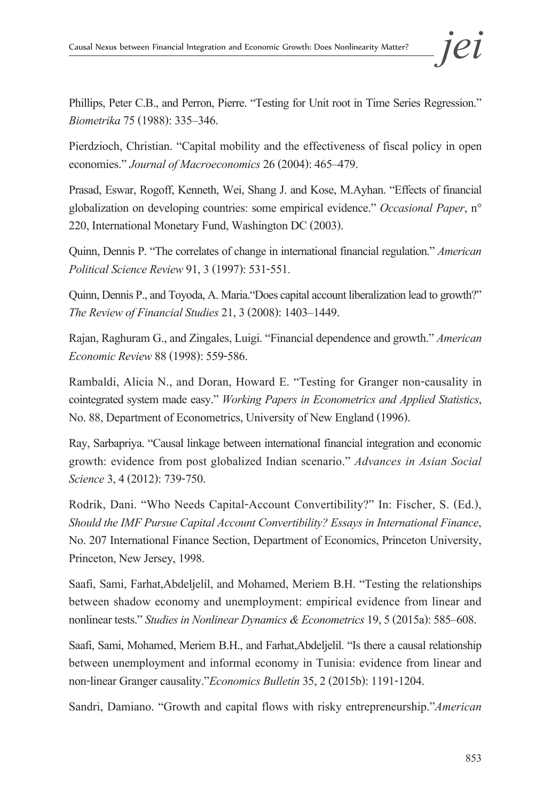Phillips, Peter C.B., and Perron, Pierre. "Testing for Unit root in Time Series Regression." *Biometrika* 75 (1988): 335–346.

Pierdzioch, Christian. "Capital mobility and the effectiveness of fiscal policy in open economies." *Journal of Macroeconomics* 26 (2004): 465–479.

Prasad, Eswar, Rogoff, Kenneth, Wei, Shang J. and Kose, M.Ayhan. "Effects of financial globalization on developing countries: some empirical evidence." *Occasional Paper*, n° 220, International Monetary Fund, Washington DC (2003).

Quinn, Dennis P. "The correlates of change in international financial regulation." *American Political Science Review* 91, 3 (1997): 531-551.

Quinn, Dennis P., and Toyoda, A. Maria."Does capital account liberalization lead to growth?" *The Review of Financial Studies* 21, 3 (2008): 1403–1449.

Rajan, Raghuram G., and Zingales, Luigi. "Financial dependence and growth." *American Economic Review* 88 (1998): 559-586.

Rambaldi, Alicia N., and Doran, Howard E. "Testing for Granger non-causality in cointegrated system made easy." *Working Papers in Econometrics and Applied Statistics*, No. 88, Department of Econometrics, University of New England (1996).

Ray, Sarbapriya. "Causal linkage between international financial integration and economic growth: evidence from post globalized Indian scenario." *Advances in Asian Social Science* 3, 4 (2012): 739-750.

Rodrik, Dani. "Who Needs Capital-Account Convertibility?" In: Fischer, S. (Ed.), *Should the IMF Pursue Capital Account Convertibility? Essays in International Finance*, No. 207 International Finance Section, Department of Economics, Princeton University, Princeton, New Jersey, 1998.

Saafi, Sami, Farhat,Abdeljelil, and Mohamed, Meriem B.H. "Testing the relationships between shadow economy and unemployment: empirical evidence from linear and nonlinear tests." *Studies in Nonlinear Dynamics & Econometrics* 19, 5 (2015a): 585–608.

Saafi, Sami, Mohamed, Meriem B.H., and Farhat,Abdeljelil. "Is there a causal relationship between unemployment and informal economy in Tunisia: evidence from linear and non-linear Granger causality."*Economics Bulletin* 35, 2 (2015b): 1191-1204.

Sandri, Damiano. "Growth and capital flows with risky entrepreneurship."*American*